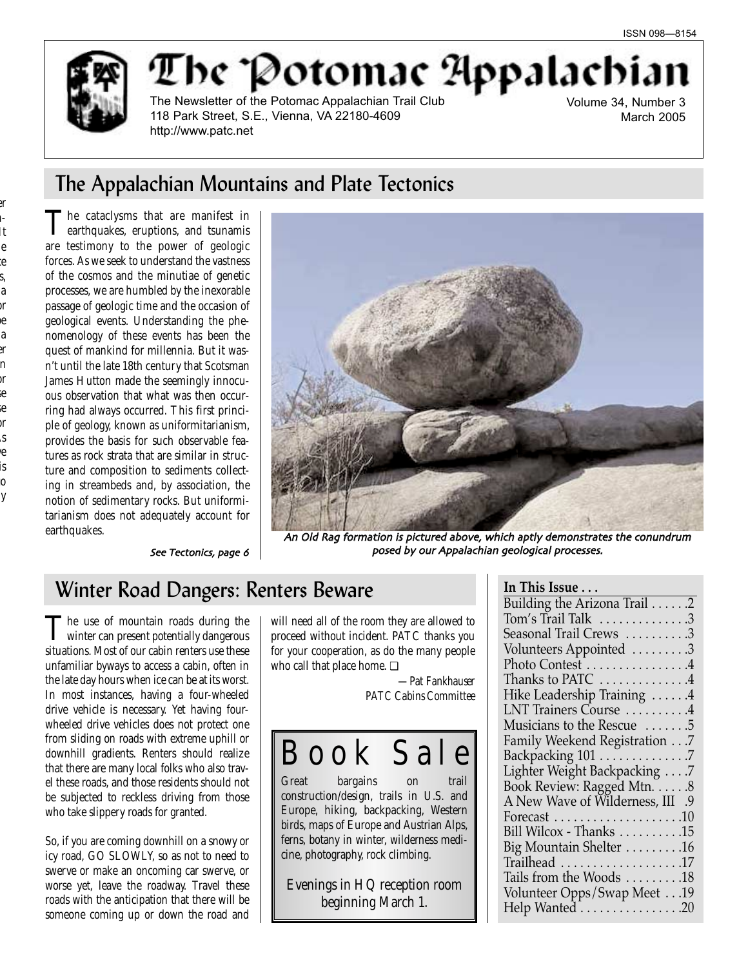

The Potomac Appalachi

The Newsletter of the Potomac Appalachian Trail Club 118 Park Street, S.E., Vienna, VA 22180-4609 http://www.patc.net

Volume 34, Number 3 March 2005

## The Appalachian Mountains and Plate Tectonics

The cataclysms that are manifest in earthquakes, eruptions, and tsunamis are testimony to the power of geologic forces. As we seek to understand the vastness of the cosmos and the minutiae of genetic processes, we are humbled by the inexorable passage of geologic time and the occasion of geological events. Understanding the phenomenology of these events has been the quest of mankind for millennia. But it wasn't until the late 18th century that Scotsman James Hutton made the seemingly innocuous observation that what was then occurring had always occurred. This first principle of geology, known as uniformitarianism, provides the basis for such observable features as rock strata that are similar in structure and composition to sediments collecting in streambeds and, by association, the notion of sedimentary rocks. But uniformitarianism does not adequately account for earthquakes.



See Tectonics, page 6

An Old Rag formation is pictured above, which aptly demonstrates the conundrum posed by our Appalachian geological processes

## Winter Road Dangers: Renters Beware

The use of mountain roads during the winter can present potentially dangerous situations. Most of our cabin renters use these unfamiliar byways to access a cabin, often in the late day hours when ice can be at its worst. In most instances, having a four-wheeled drive vehicle is necessary. Yet having fourwheeled drive vehicles does not protect one from sliding on roads with extreme uphill or downhill gradients. Renters should realize that there are many local folks who also travel these roads, and those residents should not be subjected to reckless driving from those who take slippery roads for granted.

So, if you are coming downhill on a snowy or icy road, GO SLOWLY, so as not to need to swerve or make an oncoming car swerve, or worse yet, leave the roadway. Travel these roads with the anticipation that there will be someone coming up or down the road and

will need all of the room they are allowed to proceed without incident. PATC thanks you for your cooperation, as do the many people who call that place home. ❏

> *—Pat Fankhauser PATC Cabins Committee*

# B o o k S a l e

Great bargains on trail construction/design, trails in U.S. and Europe, hiking, backpacking, Western birds, maps of Europe and Austrian Alps, ferns, botany in winter, wilderness medicine, photography, rock climbing.

Evenings in HQ reception room beginning March 1.

| In This Issue $\ldots$                                         |
|----------------------------------------------------------------|
| Building the Arizona Trail 2                                   |
| Tom's Trail Talk 3                                             |
| Seasonal Trail Crews 3                                         |
| Volunteers Appointed 3                                         |
| Photo Contest 4                                                |
| Thanks to PATC 4                                               |
| Hike Leadership Training 4                                     |
| LNT Trainers Course 4                                          |
| Musicians to the Rescue 5                                      |
| Family Weekend Registration 7                                  |
| Backpacking 101 7                                              |
| Lighter Weight Backpacking 7                                   |
| Book Review: Ragged Mtn. 8                                     |
| A New Wave of Wilderness, III .9                               |
| Forecast $\ldots \ldots \ldots \ldots \ldots \ldots \ldots 10$ |
| Bill Wilcox - Thanks 15                                        |
| Big Mountain Shelter 16                                        |
|                                                                |
| Tails from the Woods 18                                        |
| Volunteer Opps/Swap Meet 19                                    |
| Help Wanted 20                                                 |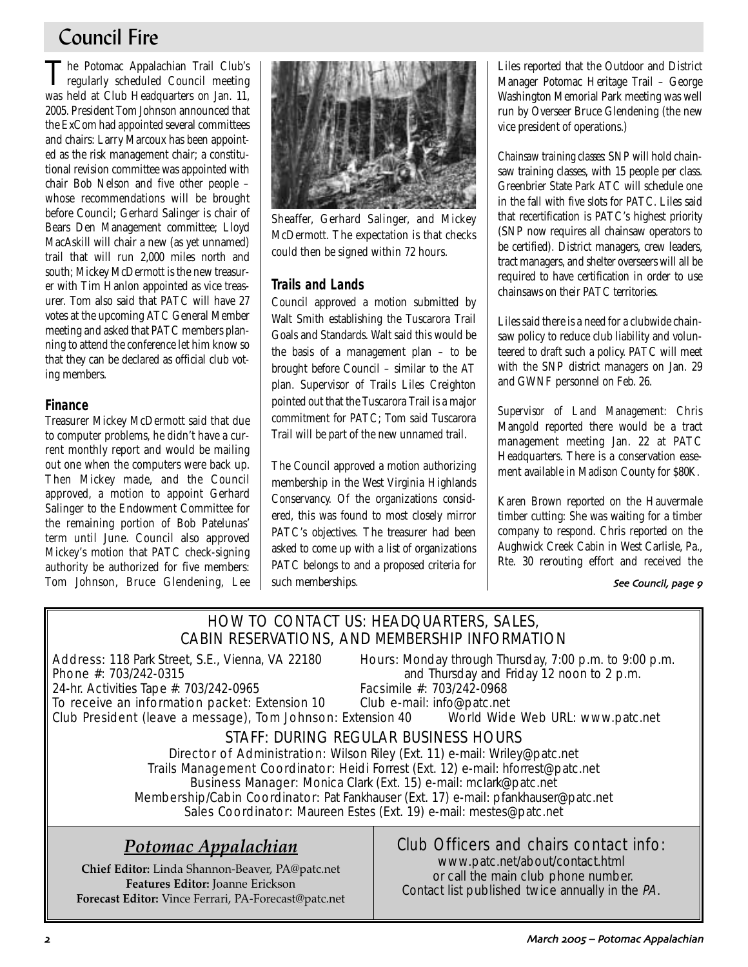## Council Fire

The Potomac Appalachian Trail Club's regularly scheduled Council meeting was held at Club Headquarters on Jan. 11, 2005. President Tom Johnson announced that the ExCom had appointed several committees and chairs: Larry Marcoux has been appointed as the risk management chair; a constitutional revision committee was appointed with chair Bob Nelson and five other people – whose recommendations will be brought before Council; Gerhard Salinger is chair of Bears Den Management committee; Lloyd MacAskill will chair a new (as yet unnamed) trail that will run 2,000 miles north and south; Mickey McDermott is the new treasurer with Tim Hanlon appointed as vice treasurer. Tom also said that PATC will have 27 votes at the upcoming ATC General Member meeting and asked that PATC members planning to attend the conference let him know so that they can be declared as official club voting members.

## **Finance**

Treasurer Mickey McDermott said that due to computer problems, he didn't have a current monthly report and would be mailing out one when the computers were back up. Then Mickey made, and the Council approved, a motion to appoint Gerhard Salinger to the Endowment Committee for the remaining portion of Bob Patelunas' term until June. Council also approved Mickey's motion that PATC check-signing authority be authorized for five members: Tom Johnson, Bruce Glendening, Lee



Sheaffer, Gerhard Salinger, and Mickey McDermott. The expectation is that checks could then be signed within 72 hours.

## **Trails and Lands**

Council approved a motion submitted by Walt Smith establishing the Tuscarora Trail Goals and Standards. Walt said this would be the basis of a management plan – to be brought before Council – similar to the AT plan. Supervisor of Trails Liles Creighton pointed out that the Tuscarora Trail is a major commitment for PATC; Tom said Tuscarora Trail will be part of the new unnamed trail.

The Council approved a motion authorizing membership in the West Virginia Highlands Conservancy. Of the organizations considered, this was found to most closely mirror PATC's objectives. The treasurer had been asked to come up with a list of organizations PATC belongs to and a proposed criteria for such memberships.

Liles reported that the Outdoor and District Manager Potomac Heritage Trail – George Washington Memorial Park meeting was well run by Overseer Bruce Glendening (the new vice president of operations.)

*Chainsaw training classes:* SNP will hold chainsaw training classes, with 15 people per class. Greenbrier State Park ATC will schedule one in the fall with five slots for PATC. Liles said that recertification is PATC's highest priority (SNP now requires all chainsaw operators to be certified). District managers, crew leaders, tract managers, and shelter overseers will all be required to have certification in order to use chainsaws on their PATC territories.

Liles said there is a need for a clubwide chainsaw policy to reduce club liability and volunteered to draft such a policy. PATC will meet with the SNP district managers on Jan. 29 and GWNF personnel on Feb. 26.

*Supervisor of Land Management:* Chris Mangold reported there would be a tract management meeting Jan. 22 at PATC Headquarters. There is a conservation easement available in Madison County for \$80K.

Karen Brown reported on the Hauvermale timber cutting: She was waiting for a timber company to respond. Chris reported on the Aughwick Creek Cabin in West Carlisle, Pa., Rte. 30 rerouting effort and received the

### See Council, page 9

## HOW TO CONTACT US: HEADQUARTERS, SALES, CABIN RESERVATIONS, AND MEMBERSHIP INFORMATION

Address: 118 Park Street, S.E., Vienna, VA 22180 Hours: Monday through Thursday, 7:00 p.m. to 9:00 p.m.<br>Phone #: 703/242-0315 **Phone** #: 703/242-0315

24-hr. Activities Tape #: 703/242-0965

and Thursday and Friday 12 noon to 2 p.m.<br>Facsimile #: 703/242-0968

To receive an information packet: Extension 10 Club e-mail: info@patc.net

Club President (leave a message), Tom Johnson: Extension 40 World Wide Web URL: www.patc.net

## STAFF: DURING REGULAR BUSINESS HOURS

Director of Administration: Wilson Riley (Ext. 11) e-mail: Wriley@patc.net Trails Management Coordinator: Heidi Forrest (Ext. 12) e-mail: hforrest@patc.net Business Manager: Monica Clark (Ext. 15) e-mail: mclark@patc.net Membership/Cabin Coordinator: Pat Fankhauser (Ext. 17) e-mail: pfankhauser@patc.net Sales Coordinator: Maureen Estes (Ext. 19) e-mail: mestes@patc.net

## *Potomac Appalachian*

**Chief Editor:** Linda Shannon-Beaver, PA@patc.net **Features Editor:** Joanne Erickson **Forecast Editor:** Vince Ferrari, PA-Forecast@patc.net

## Club Officers and chairs contact info:

www.patc.net/about/contact.html or call the main club phone number. Contact list published twice annually in the PA.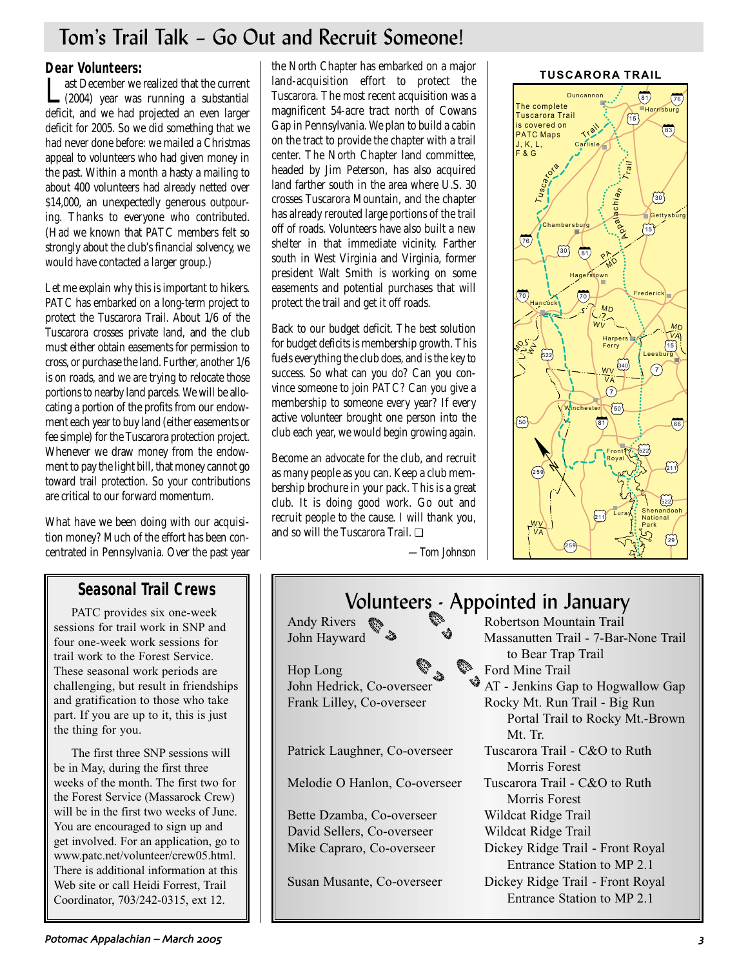## Tom's Trail Talk – Go Out and Recruit Someone!

**Dear Volunteers:**<br>**T** ast December we realized that the current Last December we realized that the current (2004) year was running a substantial deficit, and we had projected an even larger deficit for 2005. So we did something that we had never done before: we mailed a Christmas appeal to volunteers who had given money in the past. Within a month a hasty a mailing to about 400 volunteers had already netted over \$14,000, an unexpectedly generous outpouring. Thanks to everyone who contributed. (Had we known that PATC members felt so strongly about the club's financial solvency, we would have contacted a larger group.)

Let me explain why this is important to hikers. PATC has embarked on a long-term project to protect the Tuscarora Trail. About 1/6 of the Tuscarora crosses private land, and the club must either obtain easements for permission to cross, or purchase the land. Further, another 1/6 is on roads, and we are trying to relocate those portions to nearby land parcels. We will be allocating a portion of the profits from our endowment each year to buy land (either easements or fee simple) for the Tuscarora protection project. Whenever we draw money from the endowment to pay the light bill, that money cannot go toward trail protection. So your contributions are critical to our forward momentum.

What have we been doing with our acquisition money? Much of the effort has been concentrated in Pennsylvania. Over the past year

## **Seasonal Trail Crews**

PATC provides six one-week sessions for trail work in SNP and four one-week work sessions for trail work to the Forest Service. These seasonal work periods are challenging, but result in friendships and gratification to those who take part. If you are up to it, this is just the thing for you.

The first three SNP sessions will be in May, during the first three weeks of the month. The first two for the Forest Service (Massarock Crew) will be in the first two weeks of June. You are encouraged to sign up and get involved. For an application, go to www.patc.net/volunteer/crew05.html. There is additional information at this Web site or call Heidi Forrest, Trail Coordinator, 703/242-0315, ext 12.

the North Chapter has embarked on a major land-acquisition effort to protect the Tuscarora. The most recent acquisition was a magnificent 54-acre tract north of Cowans Gap in Pennsylvania. We plan to build a cabin on the tract to provide the chapter with a trail center. The North Chapter land committee, headed by Jim Peterson, has also acquired land farther south in the area where U.S. 30 crosses Tuscarora Mountain, and the chapter has already rerouted large portions of the trail off of roads. Volunteers have also built a new shelter in that immediate vicinity. Farther south in West Virginia and Virginia, former president Walt Smith is working on some easements and potential purchases that will protect the trail and get it off roads.

Back to our budget deficit. The best solution for budget deficits is membership growth. This fuels everything the club does, and is the key to success. So what can you do? Can you convince someone to join PATC? Can you give a membership to someone every year? If every active volunteer brought one person into the club each year, we would begin growing again.

Become an advocate for the club, and recruit as many people as you can. Keep a club membership brochure in your pack. This is a great club. It is doing good work. Go out and recruit people to the cause. I will thank you, and so will the Tuscarora Trail. ❏



*—Tom Johnson*

# Volunteers - Appointed in January

Hop Long  $\sum_{k=1}^{\infty}$  Ford Mine Trail

Melodie O Hanlon, Co-overseer Tuscarora Trail - C&O to Ruth

Bette Dzamba, Co-overseer Wildcat Ridge Trail David Sellers, Co-overseer Wildcat Ridge Trail

Andy Rivers  $\gg$  Robertson Mountain Trail John Hayward  $\sqrt[4]{\bullet}$  Massanutten Trail - 7-Bar-None Trail to Bear Trap Trail John Hedrick, Co-overseer **AT** - Jenkins Gap to Hogwallow Gap Frank Lilley, Co-overseer Rocky Mt. Run Trail - Big Run Portal Trail to Rocky Mt.-Brown Mt. Tr. Patrick Laughner, Co-overseer Tuscarora Trail - C&O to Ruth Morris Forest Morris Forest Mike Capraro, Co-overseer Dickey Ridge Trail - Front Royal Entrance Station to MP 2.1 Susan Musante, Co-overseer Dickey Ridge Trail - Front Royal Entrance Station to MP 2.1

### Potomac Appalachian – March !!" '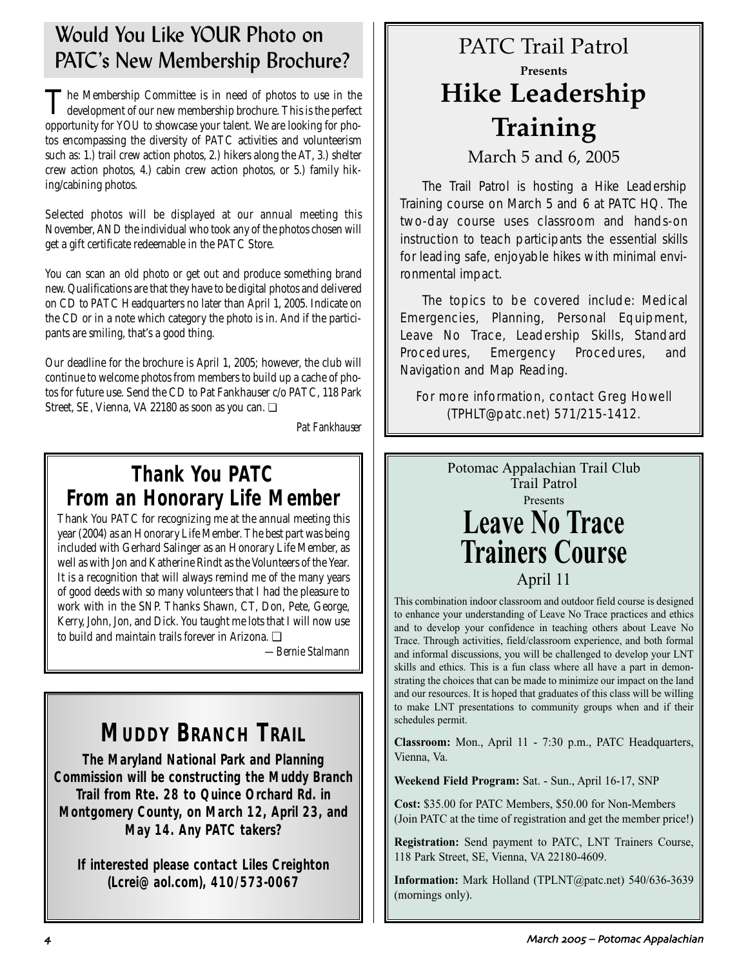## Would You Like YOUR Photo on PATC's New Membership Brochure?

The Membership Committee is in need of photos to use in the development of our new membership brochure. This is the perfect opportunity for YOU to showcase your talent. We are looking for photos encompassing the diversity of PATC activities and volunteerism such as: 1.) trail crew action photos, 2.) hikers along the AT, 3.) shelter crew action photos, 4.) cabin crew action photos, or 5.) family hiking/cabining photos.

Selected photos will be displayed at our annual meeting this November, AND the individual who took any of the photos chosen will get a gift certificate redeemable in the PATC Store.

You can scan an old photo or get out and produce something brand new. Qualifications are that they have to be digital photos and delivered on CD to PATC Headquarters no later than April 1, 2005. Indicate on the CD or in a note which category the photo is in. And if the participants are smiling, that's a good thing.

Our deadline for the brochure is April 1, 2005; however, the club will continue to welcome photos from members to build up a cache of photos for future use. Send the CD to Pat Fankhauser c/o PATC, 118 Park Street, SE, Vienna, VA 22180 as soon as you can. ❏

*Pat Fankhauser*

## **Thank You PATC From an Honorary Life Member**

Thank You PATC for recognizing me at the annual meeting this year (2004) as an Honorary Life Member. The best part was being included with Gerhard Salinger as an Honorary Life Member, as well as with Jon and Katherine Rindt as the Volunteers of the Year. It is a recognition that will always remind me of the many years of good deeds with so many volunteers that I had the pleasure to work with in the SNP. Thanks Shawn, CT, Don, Pete, George, Kerry, John, Jon, and Dick. You taught me lots that I will now use to build and maintain trails forever in Arizona. ❏

*—Bernie Stalmann*

# **MUDDY BRANCH TRAIL**

**The Maryland National Park and Planning Commission will be constructing the Muddy Branch Trail from Rte. 28 to Quince Orchard Rd. in Montgomery County, on March 12, April 23, and May 14. Any PATC takers?** 

**If interested please contact Liles Creighton (Lcrei@aol.com), 410/573-0067**

# PATC Trail Patrol **Presents Hike Leadership Training**

March 5 and 6, 2005

The Trail Patrol is hosting a Hike Leadership Training course on March 5 and 6 at PATC HQ. The two-day course uses classroom and hands-on instruction to teach participants the essential skills for leading safe, enjoyable hikes with minimal environmental impact.

The topics to be covered include: Medical Emergencies, Planning, Personal Equipment, Leave No Trace, Leadership Skills, Standard Procedures, Emergency Procedures, and Navigation and Map Reading.

For more information, contact Greg Howell (TPHLT@patc.net) 571/215-1412.

> Potomac Appalachian Trail Club Trail Patrol Presents **Leave No Trace Trainers Course** April 11

This combination indoor classroom and outdoor field course is designed to enhance your understanding of Leave No Trace practices and ethics and to develop your confidence in teaching others about Leave No Trace. Through activities, field/classroom experience, and both formal and informal discussions, you will be challenged to develop your LNT skills and ethics. This is a fun class where all have a part in demonstrating the choices that can be made to minimize our impact on the land and our resources. It is hoped that graduates of this class will be willing to make LNT presentations to community groups when and if their schedules permit.

**Classroom:** Mon., April 11 - 7:30 p.m., PATC Headquarters, Vienna, Va.

**Weekend Field Program:** Sat. - Sun., April 16-17, SNP

**Cost:** \$35.00 for PATC Members, \$50.00 for Non-Members (Join PATC at the time of registration and get the member price!)

**Registration:** Send payment to PATC, LNT Trainers Course, 118 Park Street, SE, Vienna, VA 22180-4609.

**Information:** Mark Holland (TPLNT@patc.net) 540/636-3639 (mornings only).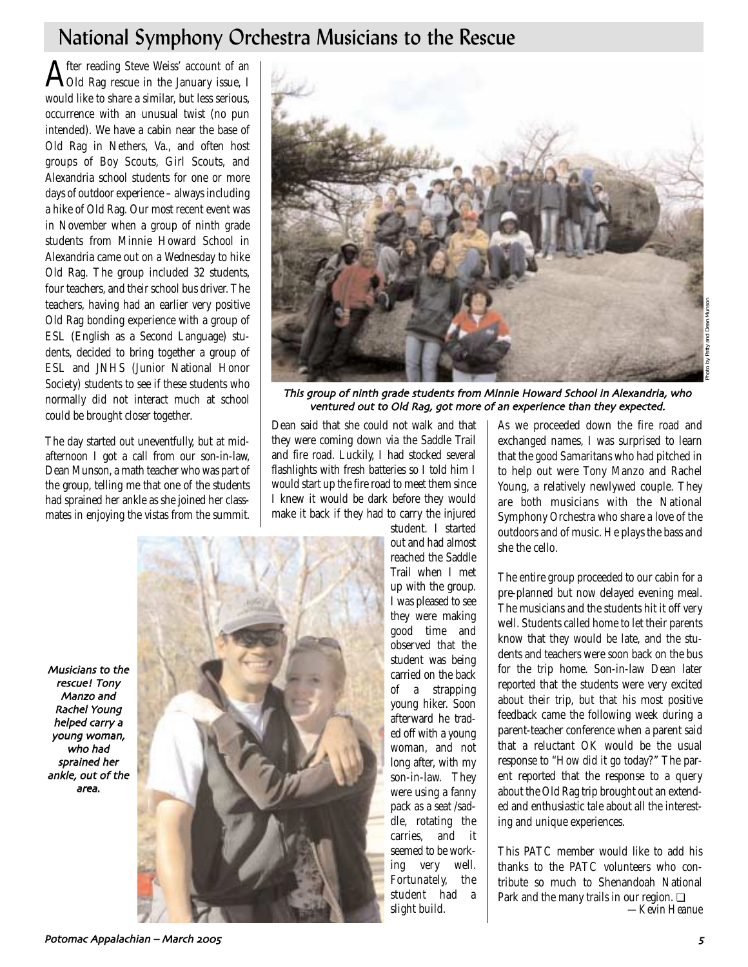## National Symphony Orchestra Musicians to the Rescue

After reading Steve Weiss' account of an<br>AOId Rag rescue in the January issue, I would like to share a similar, but less serious, occurrence with an unusual twist (no pun intended). We have a cabin near the base of Old Rag in Nethers, Va., and often host groups of Boy Scouts, Girl Scouts, and Alexandria school students for one or more days of outdoor experience – always including a hike of Old Rag. Our most recent event was in November when a group of ninth grade students from Minnie Howard School in Alexandria came out on a Wednesday to hike Old Rag. The group included 32 students, four teachers, and their school bus driver. The teachers, having had an earlier very positive Old Rag bonding experience with a group of ESL (English as a Second Language) students, decided to bring together a group of ESL and JNHS (Junior National Honor Society) students to see if these students who normally did not interact much at school could be brought closer together.

The day started out uneventfully, but at midafternoon I got a call from our son-in-law, Dean Munson, a math teacher who was part of the group, telling me that one of the students had sprained her ankle as she joined her classmates in enjoying the vistas from the summit.



This group of ninth grade students from Minnie Howard School in Alexandria, who ventured out to Old Rag, got more of an experience than they expected.

Dean said that she could not walk and that they were coming down via the Saddle Trail and fire road. Luckily, I had stocked several flashlights with fresh batteries so I told him I would start up the fire road to meet them since I knew it would be dark before they would make it back if they had to carry the injured

Musicians to the rescue! Tony Manzo and Rachel Young helped carry a young woman who had sprained her ankle, out of the area



student. I started out and had almost reached the Saddle Trail when I met up with the group. I was pleased to see they were making good time and observed that the student was being carried on the back of a strapping young hiker. Soon afterward he traded off with a young woman, and not long after, with my son-in-law. They were using a fanny pack as a seat /saddle, rotating the carries, and it seemed to be working very well. Fortunately, the student had a slight build.

As we proceeded down the fire road and exchanged names, I was surprised to learn that the good Samaritans who had pitched in to help out were Tony Manzo and Rachel Young, a relatively newlywed couple. They are both musicians with the National Symphony Orchestra who share a love of the outdoors and of music. He plays the bass and she the cello.

The entire group proceeded to our cabin for a pre-planned but now delayed evening meal. The musicians and the students hit it off very well. Students called home to let their parents know that they would be late, and the students and teachers were soon back on the bus for the trip home. Son-in-law Dean later reported that the students were very excited about their trip, but that his most positive feedback came the following week during a parent-teacher conference when a parent said that a reluctant OK would be the usual response to "How did it go today?" The parent reported that the response to a query about the Old Rag trip brought out an extended and enthusiastic tale about all the interesting and unique experiences.

This PATC member would like to add his thanks to the PATC volunteers who contribute so much to Shenandoah National Park and the many trails in our region. ❏ *—Kevin Heanue*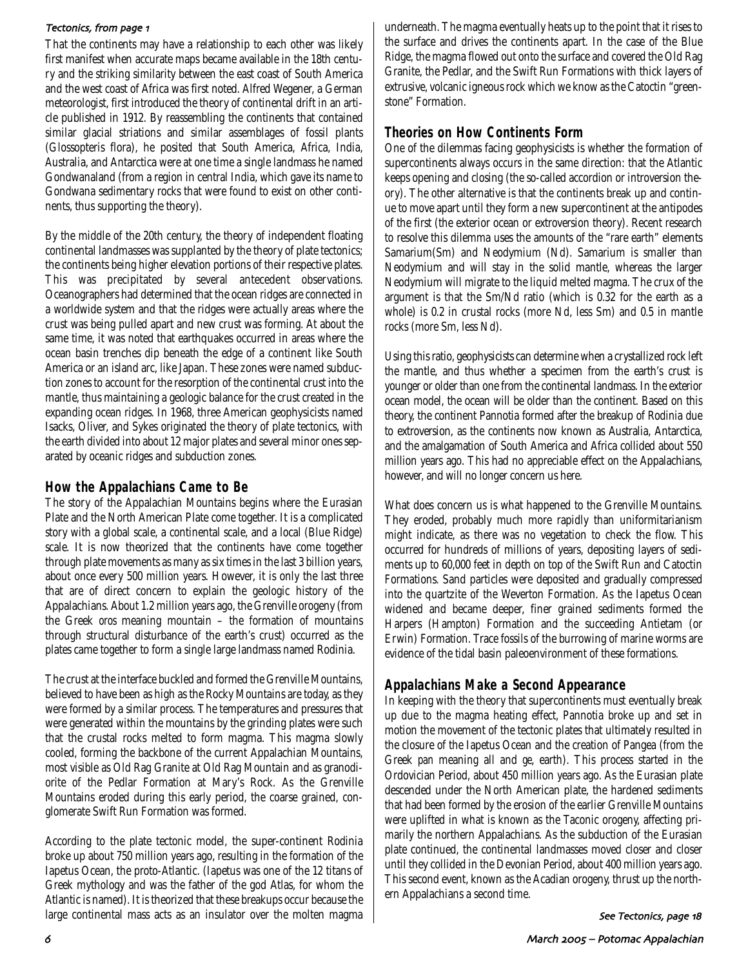### Tectonics, from page 1

That the continents may have a relationship to each other was likely first manifest when accurate maps became available in the 18th century and the striking similarity between the east coast of South America and the west coast of Africa was first noted. Alfred Wegener, a German meteorologist, first introduced the theory of continental drift in an article published in 1912. By reassembling the continents that contained similar glacial striations and similar assemblages of fossil plants (Glossopteris flora), he posited that South America, Africa, India, Australia, and Antarctica were at one time a single landmass he named Gondwanaland (from a region in central India, which gave its name to Gondwana sedimentary rocks that were found to exist on other continents, thus supporting the theory).

By the middle of the 20th century, the theory of independent floating continental landmasses was supplanted by the theory of plate tectonics; the continents being higher elevation portions of their respective plates. This was precipitated by several antecedent observations. Oceanographers had determined that the ocean ridges are connected in a worldwide system and that the ridges were actually areas where the crust was being pulled apart and new crust was forming. At about the same time, it was noted that earthquakes occurred in areas where the ocean basin trenches dip beneath the edge of a continent like South America or an island arc, like Japan. These zones were named subduction zones to account for the resorption of the continental crust into the mantle, thus maintaining a geologic balance for the crust created in the expanding ocean ridges. In 1968, three American geophysicists named Isacks, Oliver, and Sykes originated the theory of plate tectonics, with the earth divided into about 12 major plates and several minor ones separated by oceanic ridges and subduction zones.

## **How the Appalachians Came to Be**

The story of the Appalachian Mountains begins where the Eurasian Plate and the North American Plate come together. It is a complicated story with a global scale, a continental scale, and a local (Blue Ridge) scale. It is now theorized that the continents have come together through plate movements as many as six times in the last 3 billion years, about once every 500 million years. However, it is only the last three that are of direct concern to explain the geologic history of the Appalachians. About 1.2 million years ago, the Grenville orogeny (from the Greek *oros* meaning mountain – the formation of mountains through structural disturbance of the earth's crust) occurred as the plates came together to form a single large landmass named Rodinia.

The crust at the interface buckled and formed the Grenville Mountains, believed to have been as high as the Rocky Mountains are today, as they were formed by a similar process. The temperatures and pressures that were generated within the mountains by the grinding plates were such that the crustal rocks melted to form magma. This magma slowly cooled, forming the backbone of the current Appalachian Mountains, most visible as Old Rag Granite at Old Rag Mountain and as granodiorite of the Pedlar Formation at Mary's Rock. As the Grenville Mountains eroded during this early period, the coarse grained, conglomerate Swift Run Formation was formed.

According to the plate tectonic model, the super-continent Rodinia broke up about 750 million years ago, resulting in the formation of the Iapetus Ocean, the proto-Atlantic. (Iapetus was one of the 12 titans of Greek mythology and was the father of the god Atlas, for whom the Atlantic is named). It is theorized that these breakups occur because the large continental mass acts as an insulator over the molten magma underneath. The magma eventually heats up to the point that it rises to the surface and drives the continents apart. In the case of the Blue Ridge, the magma flowed out onto the surface and covered the Old Rag Granite, the Pedlar, and the Swift Run Formations with thick layers of extrusive, volcanic igneous rock which we know as the Catoctin "greenstone" Formation.

## **Theories on How Continents Form**

One of the dilemmas facing geophysicists is whether the formation of supercontinents always occurs in the same direction: that the Atlantic keeps opening and closing (the so-called accordion or introversion theory). The other alternative is that the continents break up and continue to move apart until they form a new supercontinent at the antipodes of the first (the exterior ocean or extroversion theory). Recent research to resolve this dilemma uses the amounts of the "rare earth" elements Samarium(Sm) and Neodymium (Nd). Samarium is smaller than Neodymium and will stay in the solid mantle, whereas the larger Neodymium will migrate to the liquid melted magma. The crux of the argument is that the Sm/Nd ratio (which is 0.32 for the earth as a whole) is 0.2 in crustal rocks (more Nd, less Sm) and 0.5 in mantle rocks (more Sm, less Nd).

Using this ratio, geophysicists can determine when a crystallized rock left the mantle, and thus whether a specimen from the earth's crust is younger or older than one from the continental landmass. In the exterior ocean model, the ocean will be older than the continent. Based on this theory, the continent Pannotia formed after the breakup of Rodinia due to extroversion, as the continents now known as Australia, Antarctica, and the amalgamation of South America and Africa collided about 550 million years ago. This had no appreciable effect on the Appalachians, however, and will no longer concern us here.

What does concern us is what happened to the Grenville Mountains. They eroded, probably much more rapidly than uniformitarianism might indicate, as there was no vegetation to check the flow. This occurred for hundreds of millions of years, depositing layers of sediments up to 60,000 feet in depth on top of the Swift Run and Catoctin Formations. Sand particles were deposited and gradually compressed into the quartzite of the Weverton Formation. As the Iapetus Ocean widened and became deeper, finer grained sediments formed the Harpers (Hampton) Formation and the succeeding Antietam (or Erwin) Formation. Trace fossils of the burrowing of marine worms are evidence of the tidal basin paleoenvironment of these formations.

## **Appalachians Make a Second Appearance**

In keeping with the theory that supercontinents must eventually break up due to the magma heating effect, Pannotia broke up and set in motion the movement of the tectonic plates that ultimately resulted in the closure of the Iapetus Ocean and the creation of Pangea (from the Greek *pan* meaning all and *ge*, earth). This process started in the Ordovician Period, about 450 million years ago. As the Eurasian plate descended under the North American plate, the hardened sediments that had been formed by the erosion of the earlier Grenville Mountains were uplifted in what is known as the Taconic orogeny, affecting primarily the northern Appalachians. As the subduction of the Eurasian plate continued, the continental landmasses moved closer and closer until they collided in the Devonian Period, about 400 million years ago. This second event, known as the Acadian orogeny, thrust up the northern Appalachians a second time.

See Tectonics, page 18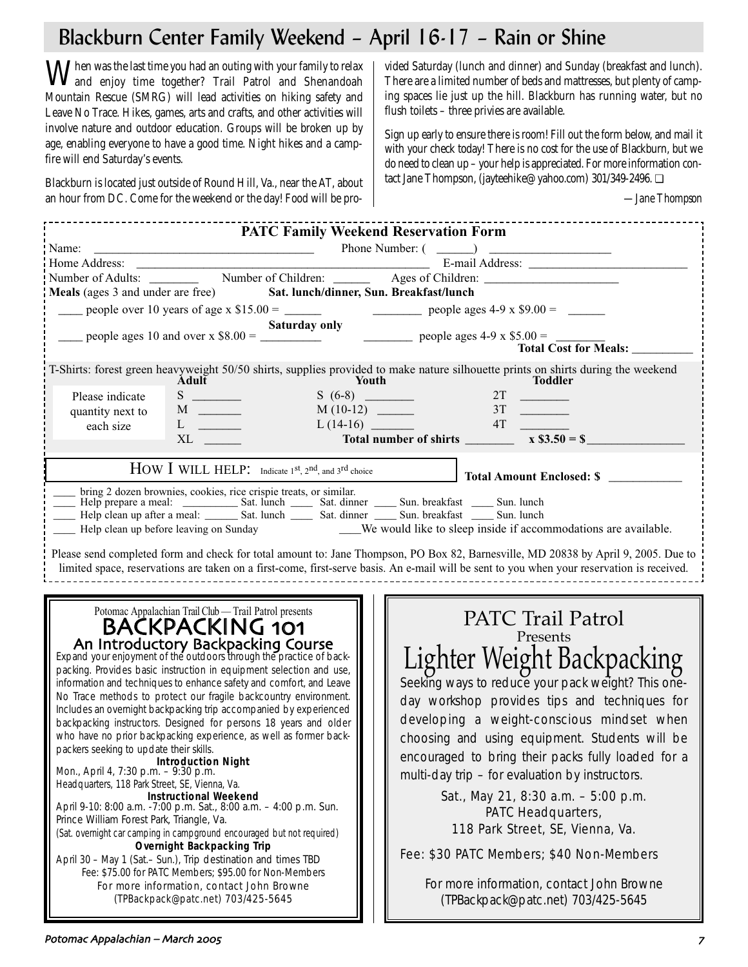# Blackburn Center Family Weekend – April 16-17 – Rain or Shine

When was the last time you had an outing with your family to relax<br>and enjoy time together? Trail Patrol and Shenandoah<br>and Shenandoah Mountain Rescue (SMRG) will lead activities on hiking safety and Leave No Trace. Hikes, games, arts and crafts, and other activities will involve nature and outdoor education. Groups will be broken up by age, enabling everyone to have a good time. Night hikes and a campfire will end Saturday's events.

Blackburn is located just outside of Round Hill, Va., near the AT, about an hour from DC. Come for the weekend or the day! Food will be provided Saturday (lunch and dinner) and Sunday (breakfast and lunch). There are a limited number of beds and mattresses, but plenty of camping spaces lie just up the hill. Blackburn has running water, but no flush toilets – three privies are available.

Sign up early to ensure there is room! Fill out the form below, and mail it with your check today! There is no cost for the use of Blackburn, but we do need to clean up – your help is appreciated. For more information contact Jane Thompson, (jayteehike@yahoo.com) 301/349-2496. ❏

*—Jane Thompson*

|                                                                                                                                                                                                                                                                                                                                                                                                                                                                                                                                                                                                                                                                                                                                                                                                                                                                                                                                                                                                                                                                           | <b>PATC Family Weekend Reservation Form</b>                                                                                                                                                                                                                                                                                                                                                                                                                                                                              |
|---------------------------------------------------------------------------------------------------------------------------------------------------------------------------------------------------------------------------------------------------------------------------------------------------------------------------------------------------------------------------------------------------------------------------------------------------------------------------------------------------------------------------------------------------------------------------------------------------------------------------------------------------------------------------------------------------------------------------------------------------------------------------------------------------------------------------------------------------------------------------------------------------------------------------------------------------------------------------------------------------------------------------------------------------------------------------|--------------------------------------------------------------------------------------------------------------------------------------------------------------------------------------------------------------------------------------------------------------------------------------------------------------------------------------------------------------------------------------------------------------------------------------------------------------------------------------------------------------------------|
|                                                                                                                                                                                                                                                                                                                                                                                                                                                                                                                                                                                                                                                                                                                                                                                                                                                                                                                                                                                                                                                                           |                                                                                                                                                                                                                                                                                                                                                                                                                                                                                                                          |
|                                                                                                                                                                                                                                                                                                                                                                                                                                                                                                                                                                                                                                                                                                                                                                                                                                                                                                                                                                                                                                                                           |                                                                                                                                                                                                                                                                                                                                                                                                                                                                                                                          |
|                                                                                                                                                                                                                                                                                                                                                                                                                                                                                                                                                                                                                                                                                                                                                                                                                                                                                                                                                                                                                                                                           |                                                                                                                                                                                                                                                                                                                                                                                                                                                                                                                          |
| Meals (ages 3 and under are free) Sat. lunch/dinner, Sun. Breakfast/lunch                                                                                                                                                                                                                                                                                                                                                                                                                                                                                                                                                                                                                                                                                                                                                                                                                                                                                                                                                                                                 |                                                                                                                                                                                                                                                                                                                                                                                                                                                                                                                          |
|                                                                                                                                                                                                                                                                                                                                                                                                                                                                                                                                                                                                                                                                                                                                                                                                                                                                                                                                                                                                                                                                           |                                                                                                                                                                                                                                                                                                                                                                                                                                                                                                                          |
|                                                                                                                                                                                                                                                                                                                                                                                                                                                                                                                                                                                                                                                                                                                                                                                                                                                                                                                                                                                                                                                                           |                                                                                                                                                                                                                                                                                                                                                                                                                                                                                                                          |
| people ages 10 and over x \$8.00 = $\frac{\text{Saturday only}}{\text{exp}(1000 \text{ kg})}$ people ages 4-9 x \$5.00 = $\frac{\text{Total Cost for M}}{\text{Total Cost for M}}$                                                                                                                                                                                                                                                                                                                                                                                                                                                                                                                                                                                                                                                                                                                                                                                                                                                                                        |                                                                                                                                                                                                                                                                                                                                                                                                                                                                                                                          |
|                                                                                                                                                                                                                                                                                                                                                                                                                                                                                                                                                                                                                                                                                                                                                                                                                                                                                                                                                                                                                                                                           | <b>Total Cost for Meals:</b>                                                                                                                                                                                                                                                                                                                                                                                                                                                                                             |
| Adult                                                                                                                                                                                                                                                                                                                                                                                                                                                                                                                                                                                                                                                                                                                                                                                                                                                                                                                                                                                                                                                                     | T-Shirts: forest green heavyweight 50/50 shirts, supplies provided to make nature silhouette prints on shirts during the weekend<br><b>Youth</b><br><b>Toddler</b>                                                                                                                                                                                                                                                                                                                                                       |
| $S(6-8)$<br>Please indicate                                                                                                                                                                                                                                                                                                                                                                                                                                                                                                                                                                                                                                                                                                                                                                                                                                                                                                                                                                                                                                               | S (6-8)<br>M (10-12)<br>L (14-16)<br>$\frac{2T}{3T}$<br>M (10-12)<br>$\frac{3T}{4T}$                                                                                                                                                                                                                                                                                                                                                                                                                                     |
| quantity next to                                                                                                                                                                                                                                                                                                                                                                                                                                                                                                                                                                                                                                                                                                                                                                                                                                                                                                                                                                                                                                                          |                                                                                                                                                                                                                                                                                                                                                                                                                                                                                                                          |
| $L \quad \underline{\hspace{1cm}}$<br>each size                                                                                                                                                                                                                                                                                                                                                                                                                                                                                                                                                                                                                                                                                                                                                                                                                                                                                                                                                                                                                           |                                                                                                                                                                                                                                                                                                                                                                                                                                                                                                                          |
|                                                                                                                                                                                                                                                                                                                                                                                                                                                                                                                                                                                                                                                                                                                                                                                                                                                                                                                                                                                                                                                                           | $L(14-16)$ Total number of shirts $\frac{31}{4T}$ $\frac{1}{x}$ $\frac{1}{x}$ $\frac{1}{x}$ $\frac{1}{x}$ $\frac{1}{x}$ $\frac{1}{x}$ $\frac{1}{x}$ $\frac{1}{x}$ $\frac{1}{x}$ $\frac{1}{x}$ $\frac{1}{x}$ $\frac{1}{x}$ $\frac{1}{x}$ $\frac{1}{x}$ $\frac{1}{x}$ $\frac{1}{x}$ $\frac{1}{x}$ $\frac{1$                                                                                                                                                                                                                |
|                                                                                                                                                                                                                                                                                                                                                                                                                                                                                                                                                                                                                                                                                                                                                                                                                                                                                                                                                                                                                                                                           |                                                                                                                                                                                                                                                                                                                                                                                                                                                                                                                          |
| HOW I WILL HELP: Indicate 1st, 2nd, and 3rd choice                                                                                                                                                                                                                                                                                                                                                                                                                                                                                                                                                                                                                                                                                                                                                                                                                                                                                                                                                                                                                        | Total Amount Enclosed: \$                                                                                                                                                                                                                                                                                                                                                                                                                                                                                                |
| bring 2 dozen brownies, cookies, rice crispie treats, or similar.                                                                                                                                                                                                                                                                                                                                                                                                                                                                                                                                                                                                                                                                                                                                                                                                                                                                                                                                                                                                         |                                                                                                                                                                                                                                                                                                                                                                                                                                                                                                                          |
| Help prepare a meal: Sat. lunch Sat. dinner Sat. dinner Sun. breakfast Sun. lunch<br>Help clean up after a meal: Sat. lunch Sat. dinner Sun. breakfast Sun. lunch                                                                                                                                                                                                                                                                                                                                                                                                                                                                                                                                                                                                                                                                                                                                                                                                                                                                                                         |                                                                                                                                                                                                                                                                                                                                                                                                                                                                                                                          |
|                                                                                                                                                                                                                                                                                                                                                                                                                                                                                                                                                                                                                                                                                                                                                                                                                                                                                                                                                                                                                                                                           |                                                                                                                                                                                                                                                                                                                                                                                                                                                                                                                          |
|                                                                                                                                                                                                                                                                                                                                                                                                                                                                                                                                                                                                                                                                                                                                                                                                                                                                                                                                                                                                                                                                           | Help clean up before leaving on Sunday Me We would like to sleep inside if accommodations are available.                                                                                                                                                                                                                                                                                                                                                                                                                 |
|                                                                                                                                                                                                                                                                                                                                                                                                                                                                                                                                                                                                                                                                                                                                                                                                                                                                                                                                                                                                                                                                           | Please send completed form and check for total amount to: Jane Thompson, PO Box 82, Barnesville, MD 20838 by April 9, 2005. Due to<br>limited space, reservations are taken on a first-come, first-serve basis. An e-mail will be sent to you when your reservation is received.                                                                                                                                                                                                                                         |
| Potomac Appalachian Trail Club - Trail Patrol presents<br><b>BACKPACKING 101</b><br>An Introductory Backpacking Course<br>Expand your enjoyment of the outdoors through the practice of back-<br>packing. Provides basic instruction in equipment selection and use,<br>information and techniques to enhance safety and comfort, and Leave<br>No Trace methods to protect our fragile backcountry environment.<br>Includes an overnight backpacking trip accompanied by experienced<br>backpacking instructors. Designed for persons 18 years and older<br>who have no prior backpacking experience, as well as former back-<br>packers seeking to update their skills.<br><b>Example: Introduction Night</b><br>Mon., April 4, 7:30 p.m. - 9:30 p.m.<br>Headquarters, 118 Park Street, SE, Vienna, Va.<br><b>Instructional Weekend</b><br>April 9-10: 8:00 a.m. -7:00 p.m. Sat., 8:00 a.m. - 4:00 p.m. Sun.<br>Prince William Forest Park, Triangle, Va.<br>(Sat. overnight car camping in campground encouraged but not required)<br><b>Overnight Backpacking Trip</b> | PATC Trail Patrol<br>Presents<br>Lighter Weight Backpacking<br>Seeking ways to reduce your pack weight? This one-<br>day workshop provides tips and techniques for<br>developing a weight-conscious mindset when<br>choosing and using equipment. Students will be<br>encouraged to bring their packs fully loaded for a<br>multi-day trip – for evaluation by instructors.<br>Sat., May 21, 8:30 a.m. - 5:00 p.m.<br>PATC Headquarters,<br>118 Park Street, SE, Vienna, Va.<br>Fee: \$30 PATC Members; \$40 Non-Members |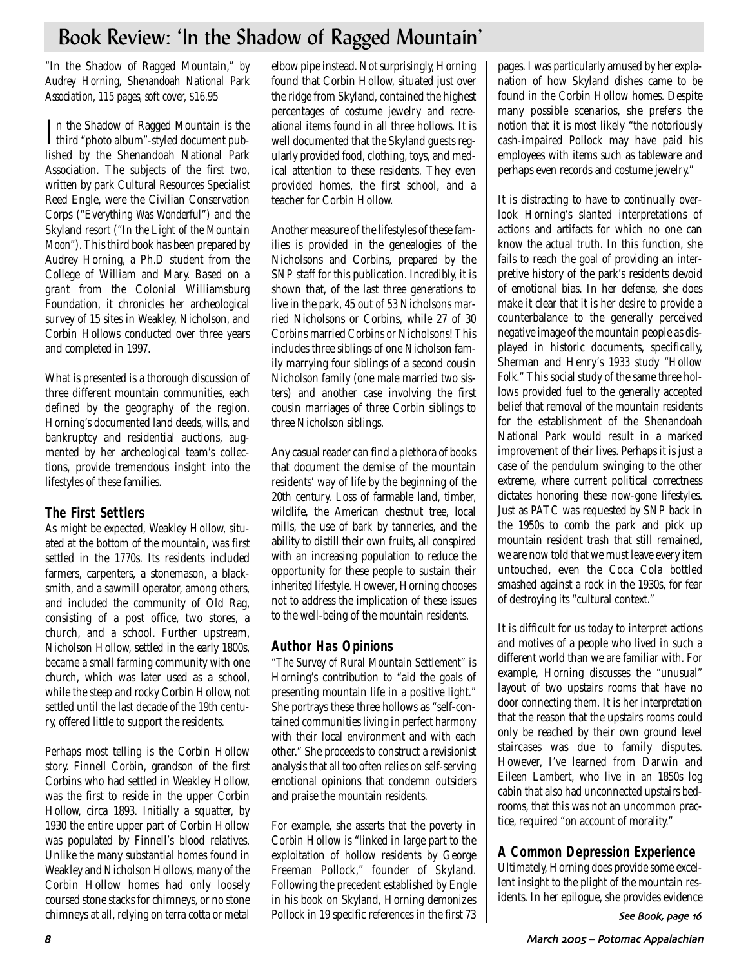## Book Review: 'In the Shadow of Ragged Mountain'

*"*In the Shadow of Ragged Mountain,*" by Audrey Horning, Shenandoah National Park Association, 115 pages, soft cover, \$16.95*

In the Shadow of Ragged Mountain is the<br>
third "photo album"-styled document pubthird "photo album"-styled document published by the Shenandoah National Park Association. The subjects of the first two, written by park Cultural Resources Specialist Reed Engle, were the Civilian Conservation Corps ("*Everything Was Wonderful*") and the Skyland resort ("*In the Light of the Mountain Moon*"). This third book has been prepared by Audrey Horning, a Ph.D student from the College of William and Mary. Based on a grant from the Colonial Williamsburg Foundation, it chronicles her archeological survey of 15 sites in Weakley, Nicholson, and Corbin Hollows conducted over three years and completed in 1997.

What is presented is a thorough discussion of three different mountain communities, each defined by the geography of the region. Horning's documented land deeds, wills, and bankruptcy and residential auctions, augmented by her archeological team's collections, provide tremendous insight into the lifestyles of these families.

## **The First Settlers**

As might be expected, Weakley Hollow, situated at the bottom of the mountain, was first settled in the 1770s. Its residents included farmers, carpenters, a stonemason, a blacksmith, and a sawmill operator, among others, and included the community of Old Rag, consisting of a post office, two stores, a church, and a school. Further upstream, Nicholson Hollow, settled in the early 1800s, became a small farming community with one church, which was later used as a school, while the steep and rocky Corbin Hollow, not settled until the last decade of the 19th century, offered little to support the residents.

Perhaps most telling is the Corbin Hollow story. Finnell Corbin, grandson of the first Corbins who had settled in Weakley Hollow, was the first to reside in the upper Corbin Hollow, circa 1893. Initially a squatter, by 1930 the entire upper part of Corbin Hollow was populated by Finnell's blood relatives. Unlike the many substantial homes found in Weakley and Nicholson Hollows, many of the Corbin Hollow homes had only loosely coursed stone stacks for chimneys, or no stone chimneys at all, relying on terra cotta or metal elbow pipe instead. Not surprisingly, Horning found that Corbin Hollow, situated just over the ridge from Skyland, contained the highest percentages of costume jewelry and recreational items found in all three hollows. It is well documented that the Skyland guests regularly provided food, clothing, toys, and medical attention to these residents. They even provided homes, the first school, and a teacher for Corbin Hollow.

Another measure of the lifestyles of these families is provided in the genealogies of the Nicholsons and Corbins, prepared by the SNP staff for this publication. Incredibly, it is shown that, of the last three generations to live in the park, 45 out of 53 Nicholsons married Nicholsons or Corbins, while 27 of 30 Corbins married Corbins or Nicholsons! This includes three siblings of one Nicholson family marrying four siblings of a second cousin Nicholson family (one male married two sisters) and another case involving the first cousin marriages of three Corbin siblings to three Nicholson siblings.

Any casual reader can find a plethora of books that document the demise of the mountain residents' way of life by the beginning of the 20th century. Loss of farmable land, timber, wildlife, the American chestnut tree, local mills, the use of bark by tanneries, and the ability to distill their own fruits, all conspired with an increasing population to reduce the opportunity for these people to sustain their inherited lifestyle. However, Horning chooses not to address the implication of these issues to the well-being of the mountain residents.

## **Author Has Opinions**

"*The Survey of Rural Mountain Settlement*" is Horning's contribution to "aid the goals of presenting mountain life in a positive light." She portrays these three hollows as "self-contained communities living in perfect harmony with their local environment and with each other." She proceeds to construct a revisionist analysis that all too often relies on self-serving emotional opinions that condemn outsiders and praise the mountain residents.

For example, she asserts that the poverty in Corbin Hollow is "linked in large part to the exploitation of hollow residents by George Freeman Pollock," founder of Skyland. Following the precedent established by Engle in his book on Skyland, Horning demonizes Pollock in 19 specific references in the first 73

pages. I was particularly amused by her explanation of how Skyland dishes came to be found in the Corbin Hollow homes. Despite many possible scenarios, she prefers the notion that it is most likely "the notoriously cash-impaired Pollock may have paid his employees with items such as tableware and perhaps even records and costume jewelry."

It is distracting to have to continually overlook Horning's slanted interpretations of actions and artifacts for which no one can know the actual truth. In this function, she fails to reach the goal of providing an interpretive history of the park's residents devoid of emotional bias. In her defense, she does make it clear that it is her desire to provide a counterbalance to the generally perceived negative image of the mountain people as displayed in historic documents, specifically, Sherman and Henry's 1933 study "*Hollow Folk.*" This social study of the same three hollows provided fuel to the generally accepted belief that removal of the mountain residents for the establishment of the Shenandoah National Park would result in a marked improvement of their lives. Perhaps it is just a case of the pendulum swinging to the other extreme, where current political correctness dictates honoring these now-gone lifestyles. Just as PATC was requested by SNP back in the 1950s to comb the park and pick up mountain resident trash that still remained, we are now told that we must leave every item untouched, even the Coca Cola bottled smashed against a rock in the 1930s, for fear of destroying its "cultural context."

It is difficult for us today to interpret actions and motives of a people who lived in such a different world than we are familiar with. For example, Horning discusses the "unusual" layout of two upstairs rooms that have no door connecting them. It is her interpretation that the reason that the upstairs rooms could only be reached by their own ground level staircases was due to family disputes. However, I've learned from Darwin and Eileen Lambert, who live in an 1850s log cabin that also had unconnected upstairs bedrooms, that this was not an uncommon practice, required "on account of morality."

## **A Common Depression Experience**

Ultimately, Horning does provide some excellent insight to the plight of the mountain residents. In her epilogue, she provides evidence

See Book, page 16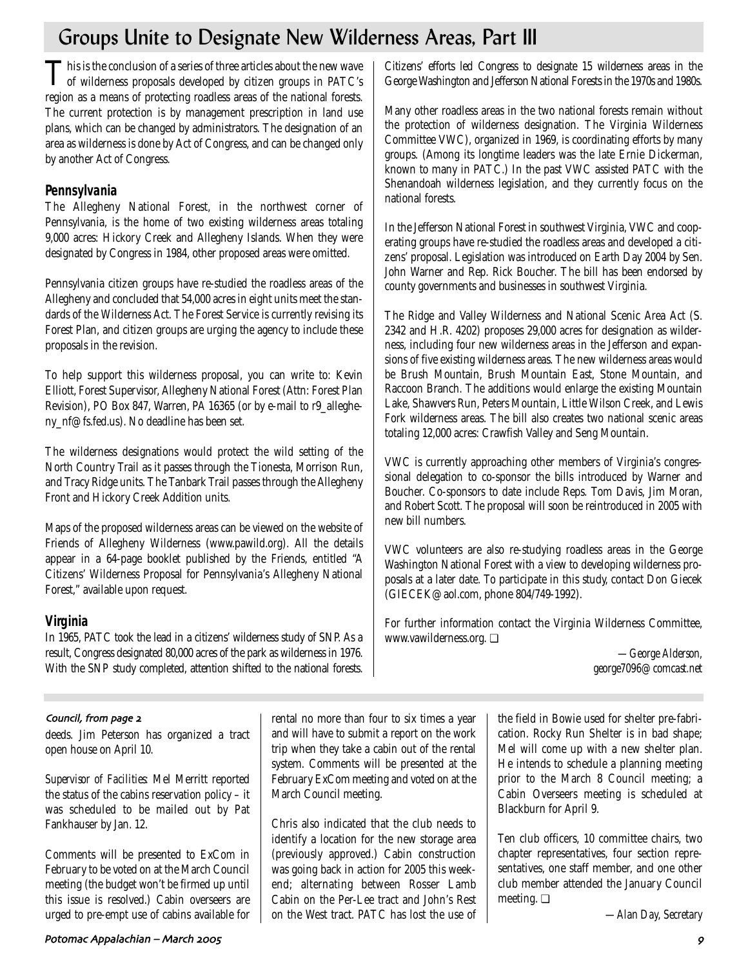## Groups Unite to Designate New Wilderness Areas, Part III

This is the conclusion of a series of three articles about the new wave of wilderness proposals developed by citizen groups in PATC's region as a means of protecting roadless areas of the national forests. The current protection is by management prescription in land use plans, which can be changed by administrators. The designation of an area as wilderness is done by Act of Congress, and can be changed only by another Act of Congress.

## **Pennsylvania**

The Allegheny National Forest, in the northwest corner of Pennsylvania, is the home of two existing wilderness areas totaling 9,000 acres: Hickory Creek and Allegheny Islands. When they were designated by Congress in 1984, other proposed areas were omitted.

Pennsylvania citizen groups have re-studied the roadless areas of the Allegheny and concluded that 54,000 acres in eight units meet the standards of the Wilderness Act. The Forest Service is currently revising its Forest Plan, and citizen groups are urging the agency to include these proposals in the revision.

To help support this wilderness proposal, you can write to: Kevin Elliott, Forest Supervisor, Allegheny National Forest (Attn: Forest Plan Revision), PO Box 847, Warren, PA 16365 (or by e-mail to r9\_allegheny\_nf@fs.fed.us). No deadline has been set.

The wilderness designations would protect the wild setting of the North Country Trail as it passes through the Tionesta, Morrison Run, and Tracy Ridge units. The Tanbark Trail passes through the Allegheny Front and Hickory Creek Addition units.

Maps of the proposed wilderness areas can be viewed on the website of Friends of Allegheny Wilderness (www.pawild.org). All the details appear in a 64-page booklet published by the Friends, entitled "A Citizens' Wilderness Proposal for Pennsylvania's Allegheny National Forest," available upon request.

## **Virginia**

In 1965, PATC took the lead in a citizens' wilderness study of SNP. As a result, Congress designated 80,000 acres of the park as wilderness in 1976. With the SNP study completed, attention shifted to the national forests. Citizens' efforts led Congress to designate 15 wilderness areas in the George Washington and Jefferson National Forests in the 1970s and 1980s.

Many other roadless areas in the two national forests remain without the protection of wilderness designation. The Virginia Wilderness Committee VWC), organized in 1969, is coordinating efforts by many groups. (Among its longtime leaders was the late Ernie Dickerman, known to many in PATC.) In the past VWC assisted PATC with the Shenandoah wilderness legislation, and they currently focus on the national forests.

In the Jefferson National Forest in southwest Virginia, VWC and cooperating groups have re-studied the roadless areas and developed a citizens' proposal. Legislation was introduced on Earth Day 2004 by Sen. John Warner and Rep. Rick Boucher. The bill has been endorsed by county governments and businesses in southwest Virginia.

The Ridge and Valley Wilderness and National Scenic Area Act (S. 2342 and H.R. 4202) proposes 29,000 acres for designation as wilderness, including four new wilderness areas in the Jefferson and expansions of five existing wilderness areas. The new wilderness areas would be Brush Mountain, Brush Mountain East, Stone Mountain, and Raccoon Branch. The additions would enlarge the existing Mountain Lake, Shawvers Run, Peters Mountain, Little Wilson Creek, and Lewis Fork wilderness areas. The bill also creates two national scenic areas totaling 12,000 acres: Crawfish Valley and Seng Mountain.

VWC is currently approaching other members of Virginia's congressional delegation to co-sponsor the bills introduced by Warner and Boucher. Co-sponsors to date include Reps. Tom Davis, Jim Moran, and Robert Scott. The proposal will soon be reintroduced in 2005 with new bill numbers.

VWC volunteers are also re-studying roadless areas in the George Washington National Forest with a view to developing wilderness proposals at a later date. To participate in this study, contact Don Giecek (GIECEK@aol.com, phone 804/749-1992).

For further information contact the Virginia Wilderness Committee, www.vawilderness.org. ❏

> *—George Alderson, george7096@comcast.net*

## Council, from page 2

deeds. Jim Peterson has organized a tract open house on April 10.

*Supervisor of Facilities:* Mel Merritt reported the status of the cabins reservation policy – it was scheduled to be mailed out by Pat Fankhauser by Jan. 12.

Comments will be presented to ExCom in February to be voted on at the March Council meeting (the budget won't be firmed up until this issue is resolved.) Cabin overseers are urged to pre-empt use of cabins available for rental no more than four to six times a year and will have to submit a report on the work trip when they take a cabin out of the rental system. Comments will be presented at the February ExCom meeting and voted on at the March Council meeting.

Chris also indicated that the club needs to identify a location for the new storage area (previously approved.) Cabin construction was going back in action for 2005 this weekend; alternating between Rosser Lamb Cabin on the Per-Lee tract and John's Rest on the West tract. PATC has lost the use of the field in Bowie used for shelter pre-fabrication. Rocky Run Shelter is in bad shape; Mel will come up with a new shelter plan. He intends to schedule a planning meeting prior to the March 8 Council meeting; a Cabin Overseers meeting is scheduled at Blackburn for April 9.

Ten club officers, 10 committee chairs, two chapter representatives, four section representatives, one staff member, and one other club member attended the January Council meeting. ❏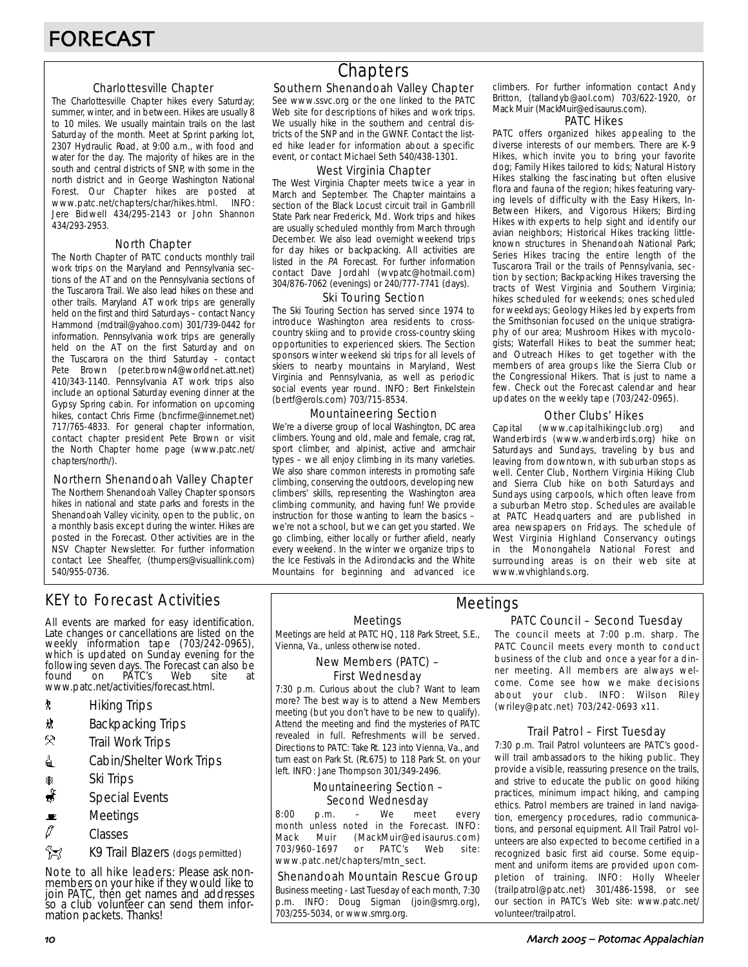### Charlottesville Chapter

The Charlottesville Chapter hikes every Saturday; summer, winter, and in between. Hikes are usually 8 to 10 miles. We usually maintain trails on the last Saturday of the month. Meet at Sprint parking lot, 2307 Hydraulic Road, at 9:00 a.m., with food and water for the day. The majority of hikes are in the south and central districts of SNP, with some in the north district and in George Washington National Forest. Our Chapter hikes are posted at www.patc.net/chapters/char/hikes.html. INFO: www.patc.net/chapters/char/hikes.html. Jere Bidwell 434/295-2143 or John Shannon 434/293-2953.

#### North Chapter

The North Chapter of PATC conducts monthly trail work trips on the Maryland and Pennsylvania sections of the AT and on the Pennsylvania sections of the Tuscarora Trail. We also lead hikes on these and other trails. Maryland AT work trips are generally held on the first and third Saturdays – contact Nancy Hammond (mdtrail@yahoo.com) 301/739-0442 for information. Pennsylvania work trips are generally held on the AT on the first Saturday and on the Tuscarora on the third Saturday – contact Pete Brown (peter.brown4@worldnet.att.net) 410/343-1140. Pennsylvania AT work trips also include an optional Saturday evening dinner at the Gypsy Spring cabin. For information on upcoming hikes, contact Chris Firme (bncfirme@innernet.net) 717/765-4833. For general chapter information, contact chapter president Pete Brown or visit the North Chapter home page (www.patc.net/ chapters/north/).

#### Northern Shenandoah Valley Chapter

The Northern Shenandoah Valley Chapter sponsors hikes in national and state parks and forests in the Shenandoah Valley vicinity, open to the public, on a monthly basis except during the winter. Hikes are posted in the Forecast. Other activities are in the NSV Chapter Newsletter. For further information contact Lee Sheaffer, (thumpers@visuallink.com) 540/955-0736.

## **Chapters**

### Southern Shenandoah Valley Chapter

See www.ssvc.org or the one linked to the PATC Web site for descriptions of hikes and work trips. We usually hike in the southern and central districts of the SNP and in the GWNF. Contact the listed hike leader for information about a specific event, or contact Michael Seth 540/438-1301.

#### West Virginia Chapter

The West Virginia Chapter meets twice a year in March and September. The Chapter maintains a section of the Black Locust circuit trail in Gambrill State Park near Frederick, Md. Work trips and hikes are usually scheduled monthly from March through December. We also lead overnight weekend trips for day hikes or backpacking. All activities are listed in the PA Forecast. For further information contact Dave Jordahl (wvpatc@hotmail.com) 304/876-7062 (evenings) or 240/777-7741 (days).

#### Ski Touring Section

The Ski Touring Section has served since 1974 to introduce Washington area residents to crosscountry skiing and to provide cross-country skiing opportunities to experienced skiers. The Section sponsors winter weekend ski trips for all levels of skiers to nearby mountains in Maryland, West Virginia and Pennsylvania, as well as periodic social events year round. INFO: Bert Finkelstein (bertf@erols.com) 703/715-8534.

#### Mountaineering Section

We're a diverse group of local Washington, DC area climbers. Young and old, male and female, crag rat, sport climber, and alpinist, active and armchair types – we all enjoy climbing in its many varieties. We also share common interests in promoting safe climbing, conserving the outdoors, developing new climbers' skills, representing the Washington area climbing community, and having fun! We provide instruction for those wanting to learn the basics – we're not a school, but we can get you started. We go climbing, either locally or further afield, nearly every weekend. In the winter we organize trips to the Ice Festivals in the Adirondacks and the White Mountains for beginning and advanced ice climbers. For further information contact Andy Britton, (tallandyb@aol.com) 703/622-1920, or Mack Muir (MackMuir@edisaurus.com).

#### PATC Hikes

PATC offers organized hikes appealing to the diverse interests of our members. There are K-9 Hikes, which invite you to bring your favorite dog; Family Hikes tailored to kids; Natural History Hikes stalking the fascinating but often elusive flora and fauna of the region; hikes featuring varying levels of difficulty with the Easy Hikers, In-Between Hikers, and Vigorous Hikers; Birding Hikes with experts to help sight and identify our avian neighbors; Historical Hikes tracking littleknown structures in Shenandoah National Park; Series Hikes tracing the entire length of the Tuscarora Trail or the trails of Pennsylvania, section by section; Backpacking Hikes traversing the tracts of West Virginia and Southern Virginia; hikes scheduled for weekends; ones scheduled for weekdays; Geology Hikes led by experts from the Smithsonian focused on the unique stratigraphy of our area; Mushroom Hikes with mycologists; Waterfall Hikes to beat the summer heat; and Outreach Hikes to get together with the members of area groups like the Sierra Club or the Congressional Hikers. That is just to name a few. Check out the Forecast calendar and hear updates on the weekly tape (703/242-0965).

#### Other Clubs' Hikes

Capital (www.capitalhikingclub.org) and Wanderbirds (www.wanderbirds.org) hike on Saturdays and Sundays, traveling by bus and leaving from downtown, with suburban stops as well. Center Club, Northern Virginia Hiking Club and Sierra Club hike on both Saturdays and Sundays using carpools, which often leave from a suburban Metro stop. Schedules are available at PATC Headquarters and are published in area newspapers on Fridays. The schedule of West Virginia Highland Conservancy outings in the Monongahela National Forest and surrounding areas is on their web site at www.wvhighlands.org.

## KEY to Forecast Activities

All events are marked for easy identification. Late changes or cancellations are listed on the weekly information tape (703/242-0965), which is updated on Sunday evening for the following seven days. The Forecast can also be found on PATC's Web site at www.patc.net/activities/forecast.html.

- **\*** Hiking Trips
- \* Backpacking Trips
- $\mathcal{R}$  Trail Work Trips
- **i** Cabin/Shelter Work Trips
- \* Ski Trips
- Special Events
- $\blacksquare$  Meetings
- $\varnothing$  Classes
- **EX** K9 Trail Blazers (dogs permitted)

Note to all hike leaders: Please ask nonmembers on your hike if they would like to join PATC, then get names and addresses so a club volunteer can send them information packets. Thanks!

Meetings

Meetings are held at PATC HQ, 118 Park Street, S.E., Vienna, Va., unless otherwise noted.

#### New Members (PATC) – First Wednesday

7:30 p.m. Curious about the club? Want to learn more? The best way is to attend a New Members meeting (but you don't have to be new to qualify). Attend the meeting and find the mysteries of PATC revealed in full. Refreshments will be served. Directions to PATC: Take Rt. 123 into Vienna, Va., and turn east on Park St. (Rt.675) to 118 Park St. on your left. INFO: Jane Thompson 301/349-2496.

### Mountaineering Section – Second Wednesday

8:00 p.m. – We meet every month unless noted in the Forecast. INFO: Mack Muir (MackMuir@edisaurus.com) 703/960-1697 or PATC's Web site: www.patc.net/chapters/mtn\_sect.

#### Shenandoah Mountain Rescue Group

Business meeting - Last Tuesday of each month, 7:30 p.m. INFO: Doug Sigman (join@smrg.org), 703/255-5034, or www.smrg.org.

### PATC Council – Second Tuesday Meetings

The council meets at 7:00 p.m. sharp. The PATC Council meets every month to conduct business of the club and once a year for a dinner meeting. All members are always welcome. Come see how we make decisions about your club. INFO: Wilson Riley (wriley@patc.net) 703/242-0693 x11.

#### Trail Patrol – First Tuesday

7:30 p.m. Trail Patrol volunteers are PATC's goodwill trail ambassadors to the hiking public. They provide a visible, reassuring presence on the trails, and strive to educate the public on good hiking practices, minimum impact hiking, and camping ethics. Patrol members are trained in land navigation, emergency procedures, radio communications, and personal equipment. All Trail Patrol volunteers are also expected to become certified in a recognized basic first aid course. Some equipment and uniform items are provided upon completion of training. INFO: Holly Wheeler (trailpatrol@patc.net) 301/486-1598, or see our section in PATC's Web site: www.patc.net/ volunteer/trailpatrol.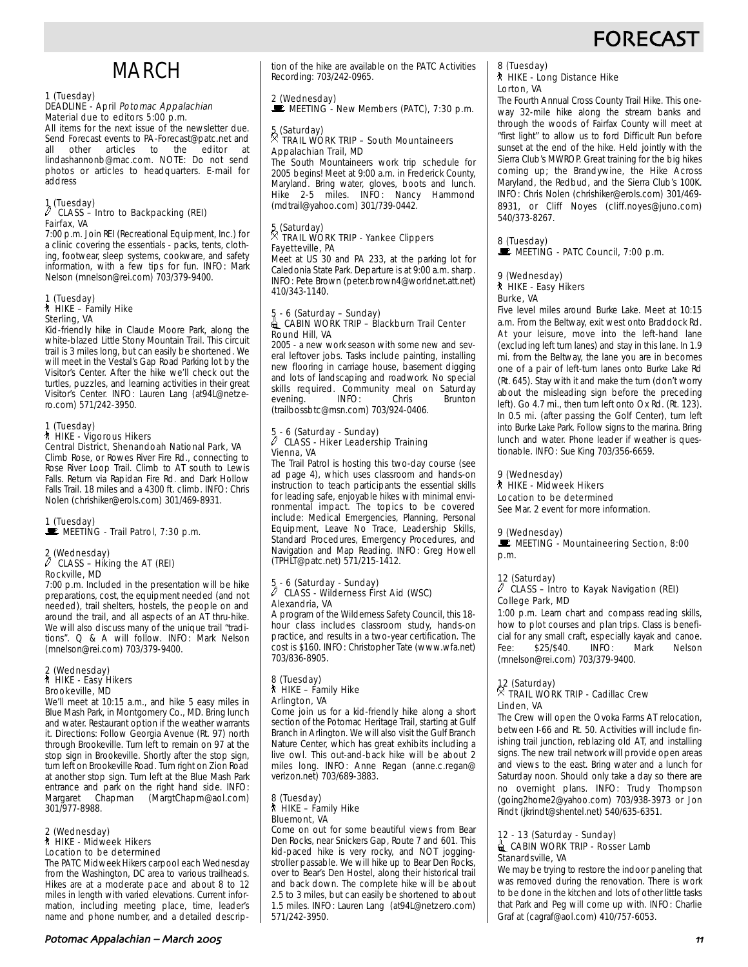## **FORECAS**

## MARCH

## 1 (Tuesday)

#### DEADLINE - April Potomac Appalachian Material due to editors 5:00 p.m.

All items for the next issue of the newsletter due. Send Forecast events to PA-Forecast@patc.net and<br>all other articles to the editor at all other articles to the editor at lindashannonb@mac.com. NOTE: Do not send photos or articles to headquarters. E-mail for **address** 

## 1 (Tuesday) a CLASS – Intro to Backpacking (REI) Fairfax, VA

7:00 p.m. Join REI (Recreational Equipment, Inc.) for a clinic covering the essentials - packs, tents, clothing, footwear, sleep systems, cookware, and safety information, with a few tips for fun. INFO: Mark Nelson (mnelson@rei.com) 703/379-9400.

## 1 (Tuesday) ` HIKE – Family Hike Sterling, VA

Kid-friendly hike in Claude Moore Park, along the white-blazed Little Stony Mountain Trail. This circuit trail is 3 miles long, but can easily be shortened. We will meet in the Vestal's Gap Road Parking lot by the Visitor's Center. After the hike we'll check out the turtles, puzzles, and learning activities in their great Visitor's Center. INFO: Lauren Lang (at94L@netzero.com) 571/242-3950.

## 1 (Tuesday) ` HIKE - Vigorous Hikers Central District, Shenandoah National Park, VA

Climb Rose, or Rowes River Fire Rd., connecting to Rose River Loop Trail. Climb to AT south to Lewis Falls. Return via Rapidan Fire Rd. and Dark Hollow Falls Trail. 18 miles and a 4300 ft. climb. INFO: Chris Nolen (chrishiker@erols.com) 301/469-8931.

#### 1 (Tuesday) **MEETING - Trail Patrol, 7:30 p.m.**

## 2 (Wednesday) a CLASS – Hiking the AT (REI) Rockville, MD

7:00 p.m. Included in the presentation will be hike preparations, cost, the equipment needed (and not needed), trail shelters, hostels, the people on and around the trail, and all aspects of an AT thru-hike. We will also discuss many of the unique trail "traditions". Q & A will follow. INFO: Mark Nelson (mnelson@rei.com) 703/379-9400.

## 2 (Wednesday) ` HIKE - Easy Hikers Brookeville, MD

We'll meet at 10:15 a.m., and hike 5 easy miles in Blue Mash Park, in Montgomery Co., MD. Bring lunch and water. Restaurant option if the weather warrants it. Directions: Follow Georgia Avenue (Rt. 97) north through Brookeville. Turn left to remain on 97 at the stop sign in Brookeville. Shortly after the stop sign, turn left on Brookeville Road. Turn right on Zion Road at another stop sign. Turn left at the Blue Mash Park entrance and park on the right hand side. INFO: Margaret Chapman (MargtChapm@aol.com) 301/977-8988.

## 2 (Wednesday) ` HIKE - Midweek Hikers Location to be determined

The PATC Midweek Hikers carpool each Wednesday from the Washington, DC area to various trailheads. Hikes are at a moderate pace and about 8 to 12 miles in length with varied elevations. Current information, including meeting place, time, leader's name and phone number, and a detailed description of the hike are available on the PATC Activities Recording: 703/242-0965.

### 2 (Wednesday)

 $\mathbb E$  MEETING - New Members (PATC), 7:30 p.m.

#### 5 (Saturday)<br>2 TRAIL WO . TRAIL WORK TRIP – South Mountaineers Appalachian Trail, MD

The South Mountaineers work trip schedule for 2005 begins! Meet at 9:00 a.m. in Frederick County, Maryland. Bring water, gloves, boots and lunch. Hike 2-5 miles. INFO: Nancy Hammond (mdtrail@yahoo.com) 301/739-0442.

## 5 (Saturday) . TRAIL WORK TRIP - Yankee Clippers Fayetteville, PA

Meet at US 30 and PA 233, at the parking lot for Caledonia State Park. Departure is at 9:00 a.m. sharp. INFO: Pete Brown (peter.brown4@worldnet.att.net) 410/343-1140.

#### 5 - 6 (Saturday – Sunday) d CABIN WORK TRIP – Blackburn Trail Center Round Hill, VA

2005 - a new work season with some new and several leftover jobs. Tasks include painting, installing new flooring in carriage house, basement digging and lots of landscaping and roadwork. No special skills required. Community meal on Saturday<br>evening. (INFO: Chris Brunton evening. (trailbossbtc@msn.com) 703/924-0406.

#### 5 - 6 (Saturday - Sunday)  $\not\!\! P$  CLASS - Hiker Leadership Training Vienna, VA

The Trail Patrol is hosting this two-day course (see ad page 4), which uses classroom and hands-on instruction to teach participants the essential skills for leading safe, enjoyable hikes with minimal environmental impact. The topics to be covered include: Medical Emergencies, Planning, Personal Equipment, Leave No Trace, Leadership Skills, Standard Procedures, Emergency Procedures, and Navigation and Map Reading. INFO: Greg Howell (TPHLT@patc.net) 571/215-1412.

### 5 - 6 (Saturday - Sunday) a CLASS - Wilderness First Aid (WSC) Alexandria, VA

A program of the Wilderness Safety Council, this 18 hour class includes classroom study, hands-on practice, and results in a two-year certification. The cost is \$160. INFO: Christopher Tate (www.wfa.net) 703/836-8905.

#### 8 (Tuesday)  $*$  HIKE – Family Hike Arlington, VA

Come join us for a kid-friendly hike along a short section of the Potomac Heritage Trail, starting at Gulf Branch in Arlington. We will also visit the Gulf Branch Nature Center, which has great exhibits including a live owl. This out-and-back hike will be about 2 miles long. INFO: Anne Regan (anne.c.regan@ verizon.net) 703/689-3883.

#### 8 (Tuesday)  $*$  HIKE – Family Hike Bluemont, VA

Come on out for some beautiful views from Bear Den Rocks, near Snickers Gap, Route 7 and 601. This kid-paced hike is very rocky, and NOT joggingstroller passable. We will hike up to Bear Den Rocks, over to Bear's Den Hostel, along their historical trail and back down. The complete hike will be about 2.5 to 3 miles, but can easily be shortened to about 1.5 miles. INFO: Lauren Lang (at94L@netzero.com) 571/242-3950.

#### 8 (Tuesday) ` HIKE - Long Distance Hike Lorton, VA

The Fourth Annual Cross County Trail Hike. This oneway 32-mile hike along the stream banks and through the woods of Fairfax County will meet at "first light" to allow us to ford Difficult Run before sunset at the end of the hike. Held jointly with the Sierra Club's MWROP. Great training for the big hikes coming up; the Brandywine, the Hike Across Maryland, the Redbud, and the Sierra Club's 100K. INFO: Chris Nolen (chrishiker@erols.com) 301/469- 8931, or Cliff Noyes (cliff.noyes@juno.com) 540/373-8267.

#### 8 (Tuesday)  $\mathbf{\dot{F}}$  MEETING - PATC Council, 7:00 p.m.

#### 9 (Wednesday) ` HIKE - Easy Hikers Burke, VA

Five level miles around Burke Lake. Meet at 10:15 a.m. From the Beltway, exit west onto Braddock Rd. At your leisure, move into the left-hand lane (excluding left turn lanes) and stay in this lane. In 1.9 mi. from the Beltway, the lane you are in becomes one of a pair of left-turn lanes onto Burke Lake Rd (Rt. 645). Stay with it and make the turn (don't worry about the misleading sign before the preceding left). Go 4.7 mi., then turn left onto Ox Rd. (Rt. 123). In 0.5 mi. (after passing the Golf Center), turn left into Burke Lake Park. Follow signs to the marina. Bring lunch and water. Phone leader if weather is questionable. INFO: Sue King 703/356-6659.

### 9 (Wednesday)

` HIKE - Midweek Hikers Location to be determined

See Mar. 2 event for more information.

### 9 (Wednesday)

MEETING - Mountaineering Section, 8:00 p.m.

## 12 (Saturday)

#### $\ell$  CLASS – Intro to Kayak Navigation (REI) College Park, MD

1:00 p.m. Learn chart and compass reading skills, how to plot courses and plan trips. Class is beneficial for any small craft, especially kayak and canoe. Fee: \$25/\$40. INFO: Mark Nelson (mnelson@rei.com) 703/379-9400.

## 12 (Saturday) . TRAIL WORK TRIP - Cadillac Crew Linden, VA

The Crew will open the Ovoka Farms AT relocation, between I-66 and Rt. 50. Activities will include finishing trail junction, reblazing old AT, and installing signs. The new trail network will provide open areas and views to the east. Bring water and a lunch for Saturday noon. Should only take a day so there are no overnight plans. INFO: Trudy Thompson (going2home2@yahoo.com) 703/938-3973 or Jon Rindt (jkrindt@shentel.net) 540/635-6351.

#### 12 - 13 (Saturday - Sunday) CABIN WORK TRIP - Rosser Lamb Stanardsville, VA

We may be trying to restore the indoor paneling that was removed during the renovation. There is work to be done in the kitchen and lots of other little tasks that Park and Peg will come up with. INFO: Charlie Graf at (cagraf@aol.com) 410/757-6053.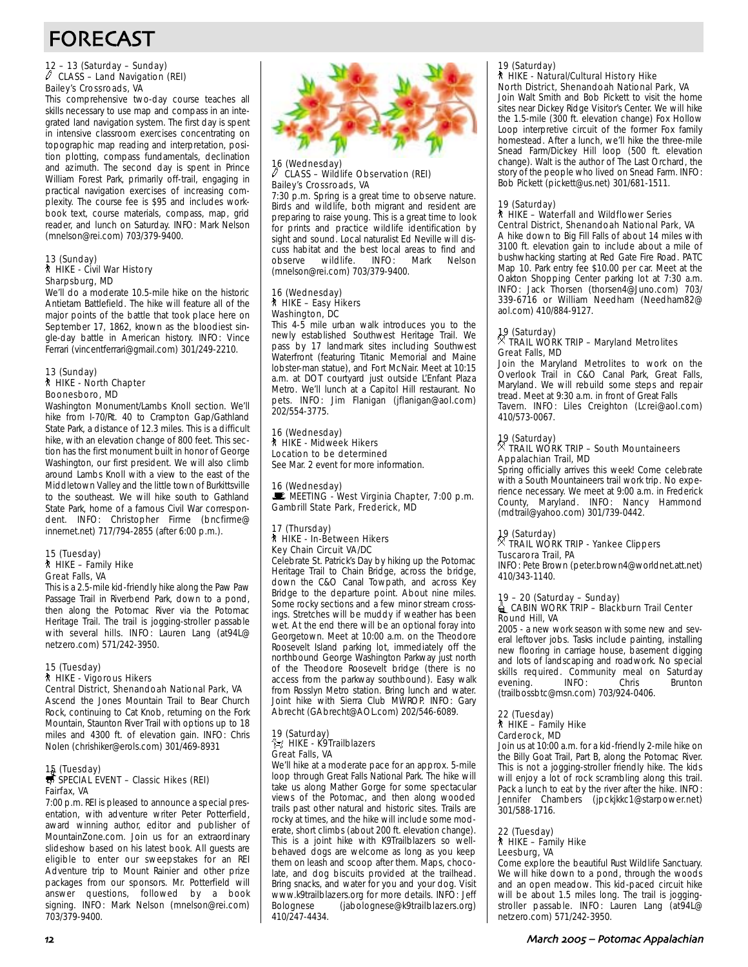# FORECAST

## 12 – 13 (Saturday – Sunday) a CLASS – Land Navigation (REI) Bailey's Crossroads, VA

This comprehensive two-day course teaches all skills necessary to use map and compass in an integrated land navigation system. The first day is spent in intensive classroom exercises concentrating on topographic map reading and interpretation, position plotting, compass fundamentals, declination and azimuth. The second day is spent in Prince William Forest Park, primarily off-trail, engaging in practical navigation exercises of increasing complexity. The course fee is \$95 and includes workbook text, course materials, compass, map, grid reader, and lunch on Saturday. INFO: Mark Nelson (mnelson@rei.com) 703/379-9400.

## 13 (Sunday) ` HIKE - Civil War History Sharpsburg, MD

We'll do a moderate 10.5-mile hike on the historic Antietam Battlefield. The hike will feature all of the major points of the battle that took place here on September 17, 1862, known as the bloodiest single-day battle in American history. INFO: Vince Ferrari (vincentferrari@gmail.com) 301/249-2210.

#### 13 (Sunday) ` HIKE - North Chapter Boonesboro, MD

Washington Monument/Lambs Knoll section. We'll hike from I-70/Rt. 40 to Crampton Gap/Gathland State Park, a distance of 12.3 miles. This is a difficult hike, with an elevation change of 800 feet. This section has the first monument built in honor of George Washington, our first president. We will also climb around Lambs Knoll with a view to the east of the Middletown Valley and the little town of Burkittsville to the southeast. We will hike south to Gathland State Park, home of a famous Civil War correspondent. INFO: Christopher Firme (bncfirme@ innernet.net) 717/794-2855 (after 6:00 p.m.).

#### 15 (Tuesday)  $\hbar$  HIKE – Family Hike Great Falls, VA

This is a 2.5-mile kid-friendly hike along the Paw Paw Passage Trail in Riverbend Park, down to a pond, then along the Potomac River via the Potomac Heritage Trail. The trail is jogging-stroller passable with several hills. INFO: Lauren Lang (at94L@ netzero.com) 571/242-3950.

#### 15 (Tuesday) ` HIKE - Vigorous Hikers

Central District, Shenandoah National Park, VA

Ascend the Jones Mountain Trail to Bear Church Rock, continuing to Cat Knob, returning on the Fork Mountain, Staunton River Trail with options up to 18 miles and 4300 ft. of elevation gain. INFO: Chris Nolen (chrishiker@erols.com) 301/469-8931

## 15 (Tuesday)<br>*<del>寻</del> SPECIAL EVENT – Classic Hikes (REI)* Fairfax, VA

7:00 p.m. REI is pleased to announce a special presentation, with adventure writer Peter Potterfield, award winning author, editor and publisher of MountainZone.com. Join us for an extraordinary slideshow based on his latest book. All guests are eligible to enter our sweepstakes for an REI Adventure trip to Mount Rainier and other prize packages from our sponsors. Mr. Potterfield will answer questions, followed by a book signing. INFO: Mark Nelson (mnelson@rei.com) 703/379-9400.



#### 16 (Wednesday) a CLASS – Wildlife Observation (REI) Bailey's Crossroads, VA

7:30 p.m. Spring is a great time to observe nature. Birds and wildlife, both migrant and resident are preparing to raise young. This is a great time to look for prints and practice wildlife identification by sight and sound. Local naturalist Ed Neville will discuss habitat and the best local areas to find and<br>observe wildlife. INFO: Mark Nelson wildlife. INFO: (mnelson@rei.com) 703/379-9400.

#### 16 (Wednesday) ` HIKE – Easy Hikers Washington, DC

This 4-5 mile urban walk introduces you to the newly established Southwest Heritage Trail. We pass by 17 landmark sites including Southwest Waterfront (featuring Titanic Memorial and Maine lobster-man statue), and Fort McNair. Meet at 10:15 a.m. at DOT courtyard just outside L'Enfant Plaza Metro. We'll lunch at a Capitol Hill restaurant. No pets. INFO: Jim Flanigan (jflanigan@aol.com) 202/554-3775.

#### 16 (Wednesday) ` HIKE - Midweek Hikers Location to be determined See Mar. 2 event for more information.

16 (Wednesday)  $\mathbf{E}$  MEETING - West Virginia Chapter, 7:00 p.m. Gambrill State Park, Frederick, MD

#### 17 (Thursday) ` HIKE - In-Between Hikers Key Chain Circuit VA/DC

Celebrate St. Patrick's Day by hiking up the Potomac Heritage Trail to Chain Bridge, across the bridge, down the C&O Canal Towpath, and across Key Bridge to the departure point. About nine miles. Some rocky sections and a few minor stream crossings. Stretches will be muddy if weather has been wet. At the end there will be an optional foray into Georgetown. Meet at 10:00 a.m. on the Theodore Roosevelt Island parking lot, immediately off the northbound George Washington Parkway just north of the Theodore Roosevelt bridge (there is no access from the parkway southbound). Easy walk from Rosslyn Metro station. Bring lunch and water. Joint hike with Sierra Club MWROP. INFO: Gary Abrecht (GAbrecht@AOL.com) 202/546-6089.

#### 19 (Saturday) HIKE - K9Trailblazers Great Falls, VA

We'll hike at a moderate pace for an approx. 5-mile loop through Great Falls National Park. The hike will take us along Mather Gorge for some spectacular views of the Potomac, and then along wooded trails past other natural and historic sites. Trails are rocky at times, and the hike will include some moderate, short climbs (about 200 ft. elevation change). This is a joint hike with K9Trailblazers so wellbehaved dogs are welcome as long as you keep them on leash and scoop after them. Maps, chocolate, and dog biscuits provided at the trailhead. Bring snacks, and water for you and your dog. Visit www.k9trailblazers.org for more details. INFO: Jeff<br>Bolognese (jabolognese@k9trailblazers.org) (jabolognese@k9trailblazers.org) 410/247-4434.

#### 19 (Saturday) ` HIKE - Natural/Cultural History Hike

North District, Shenandoah National Park, VA Join Walt Smith and Bob Pickett to visit the home sites near Dickey Ridge Visitor's Center. We will hike the 1.5-mile (300 ft. elevation change) Fox Hollow Loop interpretive circuit of the former Fox family homestead. After a lunch, we'll hike the three-mile Snead Farm/Dickey Hill loop (500 ft. elevation change). Walt is the author of The Last Orchard, the story of the people who lived on Snead Farm. INFO: Bob Pickett (pickett@us.net) 301/681-1511.

#### 19 (Saturday)

#### ` HIKE – Waterfall and Wildflower Series Central District, Shenandoah National Park, VA

A hike down to Big Fill Falls of about 14 miles with 3100 ft. elevation gain to include about a mile of bushwhacking starting at Red Gate Fire Road. PATC Map 10. Park entry fee \$10.00 per car. Meet at the Oakton Shopping Center parking lot at 7:30 a.m. INFO: Jack Thorsen (thorsen4@Juno.com) 703/ 339-6716 or William Needham (Needham82@ aol.com) 410/884-9127.

### 19 (Saturday) . TRAIL WORK TRIP – Maryland Metrolites Great Falls, MD

Join the Maryland Metrolites to work on the Overlook Trail in C&O Canal Park, Great Falls, Maryland. We will rebuild some steps and repair tread. Meet at 9:30 a.m. in front of Great Falls Tavern. INFO: Liles Creighton (Lcrei@aol.com) 410/573-0067.

### 19 (Saturday) . TRAIL WORK TRIP – South Mountaineers Appalachian Trail, MD

Spring officially arrives this week! Come celebrate with a South Mountaineers trail work trip. No experience necessary. We meet at 9:00 a.m. in Frederick County, Maryland. INFO: Nancy Hammond (mdtrail@yahoo.com) 301/739-0442.

### 19 (Saturday) . TRAIL WORK TRIP - Yankee Clippers Tuscarora Trail, PA

INFO: Pete Brown (peter.brown4@worldnet.att.net) 410/343-1140.

## 19 – 20 (Saturday – Sunday)<br>≙ CABIN WORK TRIP – Blackburn Trail Center Round Hill, VA

2005 - a new work season with some new and several leftover jobs. Tasks include painting, installing new flooring in carriage house, basement digging and lots of landscaping and roadwork. No special skills required. Community meal on Saturday<br>evening INFO: Chris Brunton evening. (trailbossbtc@msn.com) 703/924-0406.

#### 22 (Tuesday) ` HIKE – Family Hike Carderock, MD

Join us at 10:00 a.m. for a kid-friendly 2-mile hike on the Billy Goat Trail, Part B, along the Potomac River. This is not a jogging-stroller friendly hike. The kids will enjoy a lot of rock scrambling along this trail. Pack a lunch to eat by the river after the hike. INFO: Jennifer Chambers (jpckjkkc1@starpower.net) 301/588-1716.

#### 22 (Tuesday)  $*$  HIKE – Family Hike Leesburg, VA

Come explore the beautiful Rust Wildlife Sanctuary. We will hike down to a pond, through the woods and an open meadow. This kid-paced circuit hike will be about 1.5 miles long. The trail is joggingstroller passable. INFO: Lauren Lang (at94L@ netzero.com) 571/242-3950.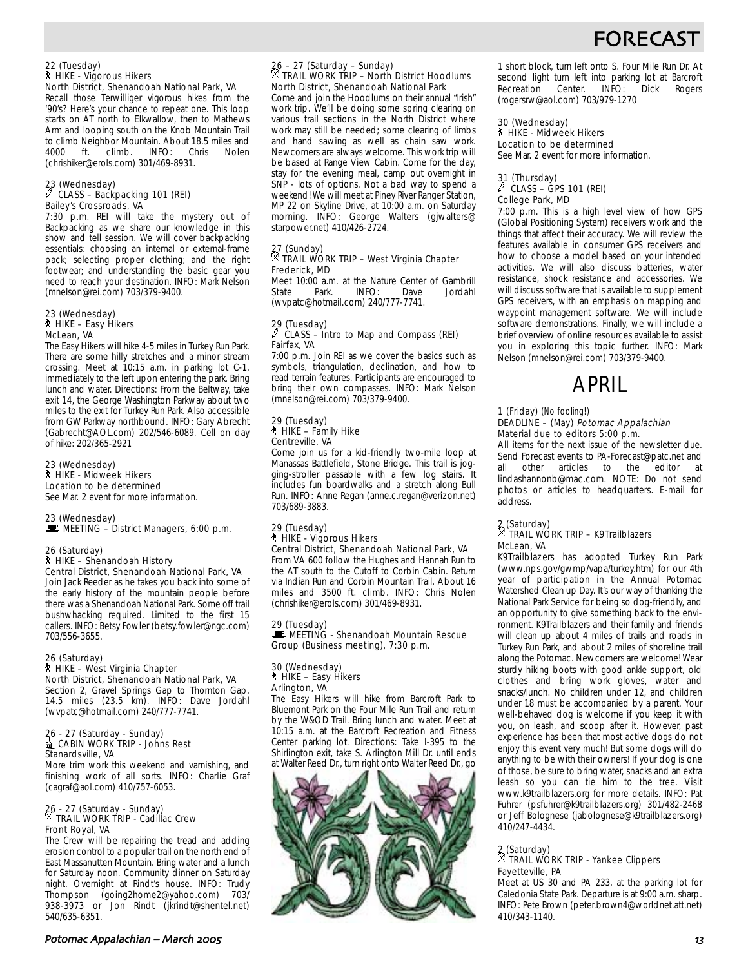## FORECAS

## 22 (Tuesday) ` HIKE - Vigorous Hikers North District, Shenandoah National Park, VA

Recall those Terwilliger vigorous hikes from the '90's? Here's your chance to repeat one. This loop starts on AT north to Elkwallow, then to Mathews Arm and looping south on the Knob Mountain Trail to climb Neighbor Mountain. About 18.5 miles and<br>4000 ft. climb. INFO: Chris Nolen ft. climb. (chrishiker@erols.com) 301/469-8931.

#### 23 (Wednesday)  $\sqrt[p]{C}$  CLASS – Backpacking 101 (REI) Bailey's Crossroads, VA

7:30 p.m. REI will take the mystery out of Backpacking as we share our knowledge in this show and tell session. We will cover backpacking essentials: choosing an internal or external-frame pack; selecting proper clothing; and the right footwear; and understanding the basic gear you need to reach your destination. INFO: Mark Nelson (mnelson@rei.com) 703/379-9400.

#### 23 (Wednesday) ` HIKE – Easy Hikers McLean, VA

The Easy Hikers will hike 4-5 miles in Turkey Run Park. There are some hilly stretches and a minor stream crossing. Meet at 10:15 a.m. in parking lot C-1, immediately to the left upon entering the park. Bring lunch and water. Directions: From the Beltway, take exit 14, the George Washington Parkway about two miles to the exit for Turkey Run Park. Also accessible from GW Parkway northbound. INFO: Gary Abrecht (Gabrecht@AOL.com) 202/546-6089. Cell on day of hike: 202/365-2921

23 (Wednesday) ` HIKE - Midweek Hikers Location to be determined See Mar. 2 event for more information.

### 23 (Wednesday)

 $\mathbf{E}$  MEETING – District Managers, 6:00 p.m.

#### 26 (Saturday) ` HIKE – Shenandoah History Central District, Shenandoah National Park, VA

Join Jack Reeder as he takes you back into some of the early history of the mountain people before there was a Shenandoah National Park. Some off trail bushwhacking required. Limited to the first 15 callers. INFO: Betsy Fowler (betsy.fowler@ngc.com) 703/556-3655.

## 26 (Saturday) ` HIKE – West Virginia Chapter North District, Shenandoah National Park, VA

Section 2, Gravel Springs Gap to Thornton Gap, 14.5 miles (23.5 km). INFO: Dave Jordahl (wvpatc@hotmail.com) 240/777-7741.

#### 26 - 27 (Saturday - Sunday) iCABIN WORK TRIP - Johns Rest Stanardsville, VA

More trim work this weekend and varnishing, and finishing work of all sorts. INFO: Charlie Graf (cagraf@aol.com) 410/757-6053.

## 26 - 27 (Saturday - Sunday) . TRAIL WORK TRIP - Cadillac Crew Front Royal, VA

The Crew will be repairing the tread and adding erosion control to a popular trail on the north end of East Massanutten Mountain. Bring water and a lunch for Saturday noon. Community dinner on Saturday night. Overnight at Rindt's house. INFO: Trudy Thompson (going2home2@yahoo.com) 703/ 938-3973 or Jon Rindt (jkrindt@shentel.net) 540/635-6351.

## 26 – 27 (Saturday – Sunday) . TRAIL WORK TRIP – North District Hoodlums North District, Shenandoah National Park

Come and join the Hoodlums on their annual "Irish" work trip. We'll be doing some spring clearing on various trail sections in the North District where work may still be needed; some clearing of limbs and hand sawing as well as chain saw work. Newcomers are always welcome. This work trip will be based at Range View Cabin. Come for the day, stay for the evening meal, camp out overnight in SNP - lots of options. Not a bad way to spend a weekend! We will meet at Piney River Ranger Station, MP 22 on Skyline Drive, at 10:00 a.m. on Saturday morning. INFO: George Walters (gjwalters @ starpower.net) 410/426-2724.

## 27 (Sunday) . TRAIL WORK TRIP – West Virginia Chapter Frederick, MD

Meet 10:00 a.m. at the Nature Center of Gambrill<br>State Park. INFO: Dave Jordahl State Park. INFO: Dave Jordahl (wvpatc@hotmail.com) 240/777-7741.

### 29 (Tuesday) a CLASS – Intro to Map and Compass (REI) Fairfax, VA

7:00 p.m. Join REI as we cover the basics such as symbols, triangulation, declination, and how to read terrain features. Participants are encouraged to bring their own compasses. INFO: Mark Nelson (mnelson@rei.com) 703/379-9400.

#### 29 (Tuesday) ` HIKE – Family Hike Centreville, VA

Come join us for a kid-friendly two-mile loop at Manassas Battlefield, Stone Bridge. This trail is jogging-stroller passable with a few log stairs. It includes fun boardwalks and a stretch along Bull Run. INFO: Anne Regan (anne.c.regan@verizon.net) 703/689-3883.

#### 29 (Tuesday) ` HIKE - Vigorous Hikers Central District, Shenandoah National Park, VA

From VA 600 follow the Hughes and Hannah Run to the AT south to the Cutoff to Corbin Cabin. Return via Indian Run and Corbin Mountain Trail. About 16 miles and 3500 ft. climb. INFO: Chris Nolen (chrishiker@erols.com) 301/469-8931.

#### 29 (Tuesday)  $\mathcal{L}$  MEETING - Shenandoah Mountain Rescue Group (Business meeting), 7:30 p.m.

## 30 (Wednesday) ` HIKE – Easy Hikers Arlington, VA

The Easy Hikers will hike from Barcroft Park to Bluemont Park on the Four Mile Run Trail and return by the W&OD Trail. Bring lunch and water. Meet at 10:15 a.m. at the Barcroft Recreation and Fitness Center parking lot. Directions: Take I-395 to the Shirlington exit, take S. Arlington Mill Dr. until ends at Walter Reed Dr., turn right onto Walter Reed Dr., go



1 short block, turn left onto S. Four Mile Run Dr. At second light turn left into parking lot at Barcroft Recreation Center. INFO: Dick Rogers (rogersrw@aol.com) 703/979-1270

#### 30 (Wednesday) ` HIKE - Midweek Hikers Location to be determined See Mar. 2 event for more information.

#### 31 (Thursday)  $\ell$  CLASS – GPS 101 (REI) College Park, MD

7:00 p.m. This is a high level view of how GPS (Global Positioning System) receivers work and the things that affect their accuracy. We will review the features available in consumer GPS receivers and how to choose a model based on your intended activities. We will also discuss batteries, water resistance, shock resistance and accessories. We will discuss software that is available to supplement GPS receivers, with an emphasis on mapping and waypoint management software. We will include software demonstrations. Finally, we will include a brief overview of online resources available to assist you in exploring this topic further. INFO: Mark Nelson (mnelson@rei.com) 703/379-9400.



#### 1 (Friday) (No fooling!) DEADLINE – (May) Potomac Appalachian Material due to editors 5:00 p.m.

All items for the next issue of the newsletter due. Send Forecast events to PA-Forecast@patc.net and all other articles to the editor at lindashannonb@mac.com. NOTE: Do not send photos or articles to headquarters. E-mail for address.

## 2 (Saturday) . TRAIL WORK TRIP – K9Trailblazers McLean, VA

K9Trailblazers has adopted Turkey Run Park (www.nps.gov/gwmp/vapa/turkey.htm) for our 4th year of participation in the Annual Potomac Watershed Clean up Day. It's our way of thanking the National Park Service for being so dog-friendly, and an opportunity to give something back to the environment. K9Trailblazers and their family and friends will clean up about 4 miles of trails and roads in Turkey Run Park, and about 2 miles of shoreline trail along the Potomac. Newcomers are welcome! Wear sturdy hiking boots with good ankle support, old clothes and bring work gloves, water and snacks/lunch. No children under 12, and children under 18 must be accompanied by a parent. Your well-behaved dog is welcome if you keep it with you, on leash, and scoop after it. However, past experience has been that most active dogs do not enjoy this event very much! But some dogs will do anything to be with their owners! If your dog is one of those, be sure to bring water, snacks and an extra leash so you can tie him to the tree. Visit www.k9trailblazers.org for more details. INFO: Pat Fuhrer (psfuhrer@k9trailblazers.org) 301/482-2468 or Jeff Bolognese (jabolognese@k9trailblazers.org) 410/247-4434.

## 2 (Saturday) . TRAIL WORK TRIP - Yankee Clippers Fayetteville, PA

Meet at US 30 and PA 233, at the parking lot for Caledonia State Park. Departure is at 9:00 a.m. sharp. INFO: Pete Brown (peter.brown4@worldnet.att.net) 410/343-1140.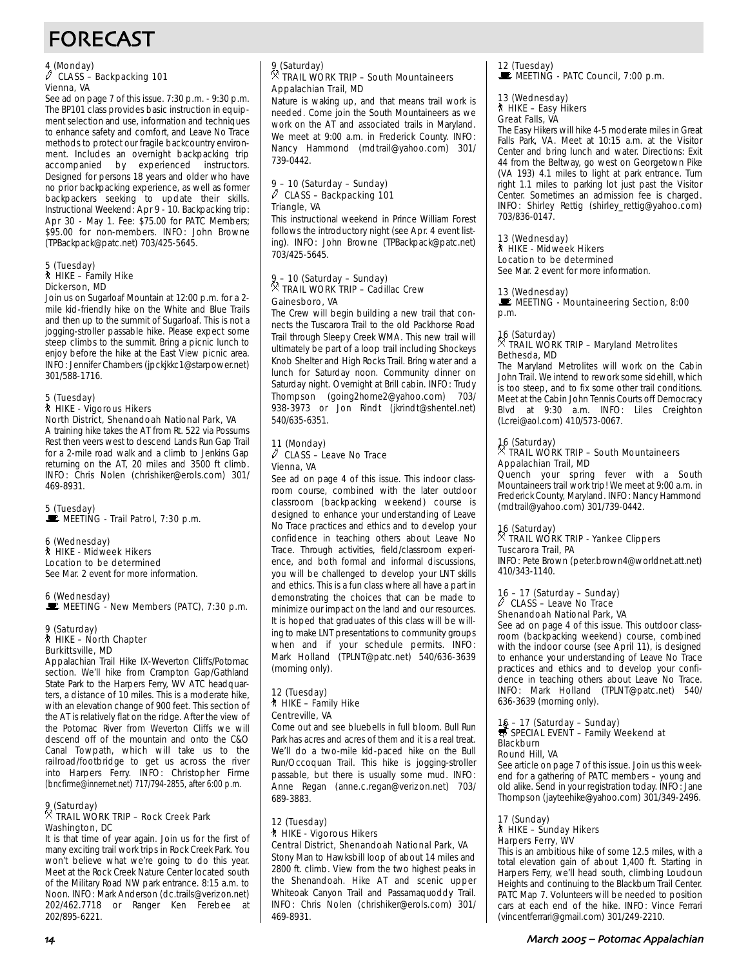# FORECAST

### 4 (Monday)<br>∥ CLASS – Backpacking 101 Vienna, VA

See ad on page 7 of this issue. 7:30 p.m. - 9:30 p.m. The BP101 class provides basic instruction in equipment selection and use, information and techniques to enhance safety and comfort, and Leave No Trace methods to protect our fragile backcountry environment. Includes an overnight backpacking trip accompanied by experienced instructors. Designed for persons 18 years and older who have no prior backpacking experience, as well as former backpackers seeking to update their skills. Instructional Weekend: Apr 9 - 10. Backpacking trip: Apr 30 - May 1. Fee: \$75.00 for PATC Members; \$95.00 for non-members. INFO: John Browne (TPBackpack@patc.net) 703/425-5645.

## 5 (Tuesday) ` HIKE – Family Hike Dickerson, MD

Join us on Sugarloaf Mountain at 12:00 p.m. for a 2 mile kid-friendly hike on the White and Blue Trails and then up to the summit of Sugarloaf. This is not a jogging-stroller passable hike. Please expect some steep climbs to the summit. Bring a picnic lunch to enjoy before the hike at the East View picnic area. INFO: Jennifer Chambers (jpckjkkc1@starpower.net) 301/588-1716.

#### 5 (Tuesday) ` HIKE - Vigorous Hikers North District, Shenandoah National Park, VA

A training hike takes the AT from Rt. 522 via Possums Rest then veers west to descend Lands Run Gap Trail for a 2-mile road walk and a climb to Jenkins Gap returning on the AT, 20 miles and 3500 ft climb. INFO: Chris Nolen (chrishiker@erols.com) 301/ 469-8931.

#### 5 (Tuesday)  $\mathbf{\mathbb{E}}$  MEETING - Trail Patrol, 7:30 p.m.

6 (Wednesday) ` HIKE - Midweek Hikers Location to be determined See Mar. 2 event for more information.

6 (Wednesday) MEETING - New Members (PATC), 7:30 p.m.

#### 9 (Saturday) ` HIKE – North Chapter Burkittsville, MD

Appalachian Trail Hike IX-Weverton Cliffs/Potomac section. We'll hike from Crampton Gap/Gathland State Park to the Harpers Ferry, WV ATC headquarters, a distance of 10 miles. This is a moderate hike, with an elevation change of 900 feet. This section of the AT is relatively flat on the ridge. After the view of the Potomac River from Weverton Cliffs we will descend off of the mountain and onto the C&O Canal Towpath, which will take us to the railroad/footbridge to get us across the river into Harpers Ferry. INFO: Christopher Firme (bncfirme@innernet.net) 717/794-2855, after 6:00 p.m.

## 9 (Saturday) . TRAIL WORK TRIP – Rock Creek Park Washington, DC

It is that time of year again. Join us for the first of many exciting trail work trips in Rock Creek Park. You won't believe what we're going to do this year. Meet at the Rock Creek Nature Center located south of the Military Road NW park entrance. 8:15 a.m. to Noon. INFO: Mark Anderson (dc.trails@verizon.net) 202/462.7718 or Ranger Ken Ferebee at 202/895-6221.

#### $\frac{9}{2}$  (Saturday) . TRAIL WORK TRIP – South Mountaineers Appalachian Trail, MD

Nature is waking up, and that means trail work is needed. Come join the South Mountaineers as we work on the AT and associated trails in Maryland. We meet at 9:00 a.m. in Frederick County. INFO: Nancy Hammond (mdtrail@yahoo.com) 301/ 739-0442.

#### 9 – 10 (Saturday – Sunday)  $\ell$  CLASS – Backpacking 101 Triangle, VA

This instructional weekend in Prince William Forest follows the introductory night (see Apr. 4 event listing). INFO: John Browne (TPBackpack@patc.net) 703/425-5645.

## 9 – 10 (Saturday – Sunday) . TRAIL WORK TRIP – Cadillac Crew Gainesboro, VA

The Crew will begin building a new trail that connects the Tuscarora Trail to the old Packhorse Road Trail through Sleepy Creek WMA. This new trail will ultimately be part of a loop trail including Shockeys Knob Shelter and High Rocks Trail. Bring water and a lunch for Saturday noon. Community dinner on Saturday night. Overnight at Brill cabin. INFO: Trudy Thompson (going2home2@yahoo.com) 703/ 938-3973 or Jon Rindt (jkrindt@shentel.net) 540/635-6351.

#### 11 (Monday)  $\ell$  CLASS – Leave No Trace Vienna, VA

See ad on page 4 of this issue. This indoor classroom course, combined with the later outdoor classroom (backpacking weekend) course is designed to enhance your understanding of Leave No Trace practices and ethics and to develop your confidence in teaching others about Leave No Trace. Through activities, field/classroom experience, and both formal and informal discussions, you will be challenged to develop your LNT skills and ethics. This is a fun class where all have a part in demonstrating the choices that can be made to minimize our impact on the land and our resources. It is hoped that graduates of this class will be willing to make LNT presentations to community groups when and if your schedule permits. INFO: Mark Holland (TPLNT@patc.net) 540/636-3639 (morning only).

#### 12 (Tuesday) ` HIKE – Family Hike Centreville, VA

Come out and see bluebells in full bloom. Bull Run Park has acres and acres of them and it is a real treat. We'll do a two-mile kid-paced hike on the Bull Run/Occoquan Trail. This hike is jogging-stroller passable, but there is usually some mud. INFO: Anne Regan (anne.c.regan@verizon.net) 703/ 689-3883.

### 12 (Tuesday) ` HIKE - Vigorous Hikers

Central District, Shenandoah National Park, VA Stony Man to Hawksbill loop of about 14 miles and 2800 ft. climb. View from the two highest peaks in the Shenandoah. Hike AT and scenic upper Whiteoak Canyon Trail and Passamaquoddy Trail. INFO: Chris Nolen (chrishiker@erols.com) 301/ 469-8931.

12 (Tuesday)<br>■ MEETING - PATC Council, 7:00 p.m.

#### 13 (Wednesday) ` HIKE – Easy Hikers Great Falls, VA

The Easy Hikers will hike 4-5 moderate miles in Great Falls Park, VA. Meet at 10:15 a.m. at the Visitor Center and bring lunch and water. Directions: Exit 44 from the Beltway, go west on Georgetown Pike (VA 193) 4.1 miles to light at park entrance. Turn right 1.1 miles to parking lot just past the Visitor Center. Sometimes an admission fee is charged. INFO: Shirley Rettig (shirley\_rettig@yahoo.com) 703/836-0147.

### 13 (Wednesday)

### ` HIKE - Midweek Hikers

Location to be determined See Mar. 2 event for more information.

### 13 (Wednesday)

**WEETING - Mountaineering Section, 8:00** p.m.

## 16 (Saturday) . TRAIL WORK TRIP – Maryland Metrolites Bethesda, MD

The Maryland Metrolites will work on the Cabin John Trail. We intend to rework some sidehill, which is too steep, and to fix some other trail conditions. Meet at the Cabin John Tennis Courts off Democracy Blvd at 9:30 a.m. INFO: Liles Creighton (Lcrei@aol.com) 410/573-0067.

### 16 (Saturday) . TRAIL WORK TRIP – South Mountaineers Appalachian Trail, MD

Quench your spring fever with a South Mountaineers trail work trip! We meet at 9:00 a.m. in Frederick County, Maryland. INFO: Nancy Hammond (mdtrail@yahoo.com) 301/739-0442.

### 16 (Saturday) . TRAIL WORK TRIP - Yankee Clippers Tuscarora Trail, PA

INFO: Pete Brown (peter.brown4@worldnet.att.net) 410/343-1140.

#### 16 – 17 (Saturday – Sunday)  $\widetilde{\ell}$  CLASS – Leave No Trace Shenandoah National Park, VA

See ad on page 4 of this issue. This outdoor classroom (backpacking weekend) course, combined with the indoor course (see April 11), is designed to enhance your understanding of Leave No Trace practices and ethics and to develop your confidence in teaching others about Leave No Trace. INFO: Mark Holland (TPLNT@patc.net) 540/ 636-3639 (morning only).

## 16 – 17 (Saturday – Sunday)<br>₩ SPECIAL EVENT – Family Weekend at Blackburn

#### Round Hill, VA

See article on page 7 of this issue. Join us this weekend for a gathering of PATC members – young and old alike. Send in your registration today. INFO: Jane Thompson (jayteehike@yahoo.com) 301/349-2496.

#### 17 (Sunday) ` HIKE – Sunday Hikers Harpers Ferry, WV

This is an ambitious hike of some 12.5 miles, with a total elevation gain of about 1,400 ft. Starting in Harpers Ferry, we'll head south, climbing Loudoun Heights and continuing to the Blackburn Trail Center. PATC Map 7. Volunteers will be needed to position cars at each end of the hike. INFO: Vince Ferrari (vincentferrari@gmail.com) 301/249-2210.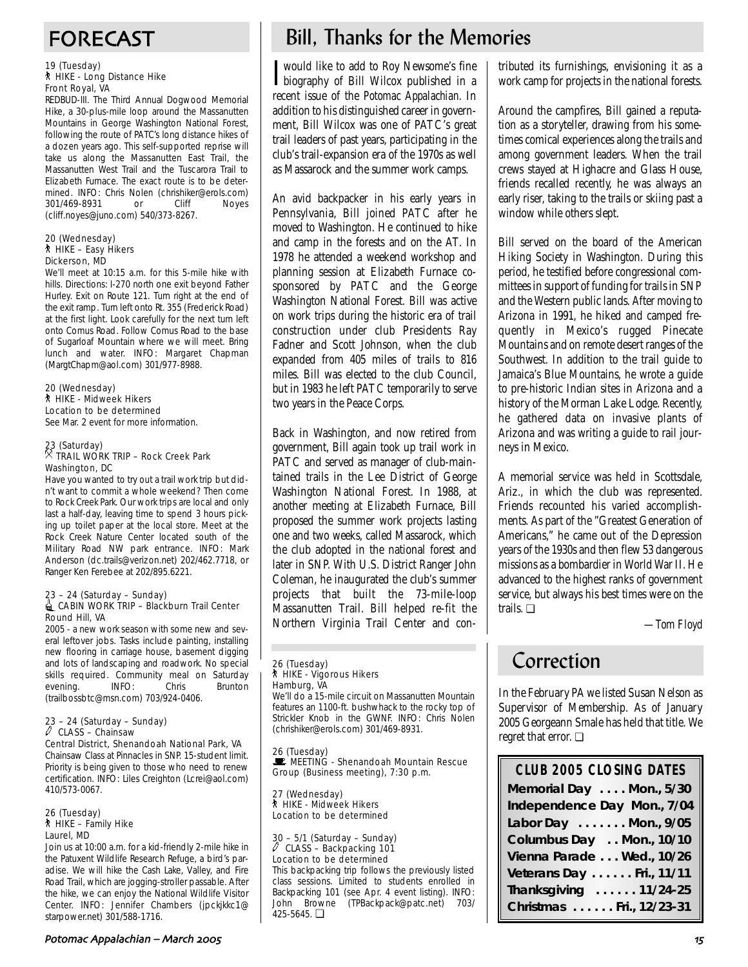#### 19 (Tuesday) ` HIKE - Long Distance Hike Front Royal, VA

REDBUD-III. The Third Annual Dogwood Memorial Hike, a 30-plus-mile loop around the Massanutten Mountains in George Washington National Forest, following the route of PATC's long distance hikes of a dozen years ago. This self-supported reprise will take us along the Massanutten East Trail, the Massanutten West Trail and the Tuscarora Trail to Elizabeth Furnace. The exact route is to be determined. INFO: Chris Nolen (chrishiker@erols.com) 301/469-8931 or Cliff Noyes (cliff.noyes@juno.com) 540/373-8267.

#### 20 (Wednesday) ` HIKE – Easy Hikers Dickerson, MD

We'll meet at 10:15 a.m. for this 5-mile hike with hills. Directions: I-270 north one exit beyond Father Hurley. Exit on Route 121. Turn right at the end of the exit ramp. Turn left onto Rt. 355 (Frederick Road) at the first light. Look carefully for the next turn left onto Comus Road. Follow Comus Road to the base of Sugarloaf Mountain where we will meet. Bring lunch and water. INFO: Margaret Chapman (MargtChapm@aol.com) 301/977-8988.

20 (Wednesday) ` HIKE - Midweek Hikers Location to be determined See Mar. 2 event for more information.

## 23 (Saturday) . TRAIL WORK TRIP – Rock Creek Park Washington, DC

Have you wanted to try out a trail work trip but didn't want to commit a whole weekend? Then come to Rock Creek Park. Our work trips are local and only last a half-day, leaving time to spend 3 hours picking up toilet paper at the local store. Meet at the Rock Creek Nature Center located south of the Military Road NW park entrance. INFO: Mark Anderson (dc.trails@verizon.net) 202/462.7718, or Ranger Ken Ferebee at 202/895.6221.

#### 23 – 24 (Saturday – Sunday) iCABIN WORK TRIP – Blackburn Trail Center Round Hill, VA

2005 - a new work season with some new and several leftover jobs. Tasks include painting, installing new flooring in carriage house, basement digging and lots of landscaping and roadwork. No special skills required. Community meal on Saturday evening. INFO: Chris Brunton (trailbossbtc@msn.com) 703/924-0406.

#### 23 – 24 (Saturday – Sunday)  $\ell$  CLASS – Chainsaw

Central District, Shenandoah National Park, VA Chainsaw Class at Pinnacles in SNP. 15-student limit. Priority is being given to those who need to renew certification. INFO: Liles Creighton (Lcrei@aol.com) 410/573-0067.

#### 26 (Tuesday) ` HIKE – Family Hike Laurel, MD

Join us at 10:00 a.m. for a kid-friendly 2-mile hike in the Patuxent Wildlife Research Refuge, a bird's paradise. We will hike the Cash Lake, Valley, and Fire Road Trail, which are jogging-stroller passable. After the hike, we can enjoy the National Wildlife Visitor Center. INFO: Jennifer Chambers (jpckjkkc1@ starpower.net) 301/588-1716.

## FORECAST Bill, Thanks for the Memories

I biography of Bill Wilcox published in a would like to add to Roy Newsome's fine recent issue of the *Potomac Appalachian.* In addition to his distinguished career in government, Bill Wilcox was one of PATC's great trail leaders of past years, participating in the club's trail-expansion era of the 1970s as well as Massarock and the summer work camps.

An avid backpacker in his early years in Pennsylvania, Bill joined PATC after he moved to Washington. He continued to hike and camp in the forests and on the AT. In 1978 he attended a weekend workshop and planning session at Elizabeth Furnace cosponsored by PATC and the George Washington National Forest. Bill was active on work trips during the historic era of trail construction under club Presidents Ray Fadner and Scott Johnson, when the club expanded from 405 miles of trails to 816 miles. Bill was elected to the club Council, but in 1983 he left PATC temporarily to serve two years in the Peace Corps.

Back in Washington, and now retired from government, Bill again took up trail work in PATC and served as manager of club-maintained trails in the Lee District of George Washington National Forest. In 1988, at another meeting at Elizabeth Furnace, Bill proposed the summer work projects lasting one and two weeks, called Massarock, which the club adopted in the national forest and later in SNP. With U.S. District Ranger John Coleman, he inaugurated the club's summer projects that built the 73-mile-loop Massanutten Trail. Bill helped re-fit the Northern Virginia Trail Center and con-

#### 26 (Tuesday) ` HIKE - Vigorous Hikers Hamburg, VA

We'll do a 15-mile circuit on Massanutten Mountain features an 1100-ft. bushwhack to the rocky top of Strickler Knob in the GWNF. INFO: Chris Nolen (chrishiker@erols.com) 301/469-8931.

26 (Tuesday) MEETING - Shenandoah Mountain Rescue Group (Business meeting), 7:30 p.m.

27 (Wednesday) ` HIKE - Midweek Hikers Location to be determined

## 30 – 5/1 (Saturday – Sunday) a CLASS – Backpacking 101 Location to be determined

This backpacking trip follows the previously listed class sessions. Limited to students enrolled in Backpacking 101 (see Apr. 4 event listing). INFO: John Browne (TPBackpack@patc.net) 703/ 425-5645. ❏

tributed its furnishings, envisioning it as a work camp for projects in the national forests.

Around the campfires, Bill gained a reputation as a storyteller, drawing from his sometimes comical experiences along the trails and among government leaders. When the trail crews stayed at Highacre and Glass House, friends recalled recently, he was always an early riser, taking to the trails or skiing past a window while others slept.

Bill served on the board of the American Hiking Society in Washington. During this period, he testified before congressional committees in support of funding for trails in SNP and the Western public lands. After moving to Arizona in 1991, he hiked and camped frequently in Mexico's rugged Pinecate Mountains and on remote desert ranges of the Southwest. In addition to the trail guide to Jamaica's Blue Mountains, he wrote a guide to pre-historic Indian sites in Arizona and a history of the Morman Lake Lodge. Recently, he gathered data on invasive plants of Arizona and was writing a guide to rail journeys in Mexico.

A memorial service was held in Scottsdale, Ariz., in which the club was represented. Friends recounted his varied accomplishments. As part of the "Greatest Generation of Americans," he came out of the Depression years of the 1930s and then flew 53 dangerous missions as a bombardier in World War II. He advanced to the highest ranks of government service, but always his best times were on the trails. ❏

*—Tom Floyd*

## Correction

In the February PA we listed Susan Nelson as Supervisor of Membership. As of January 2005 Georgeann Smale has held that title. We regret that error. ❏

| <b>CLUB 2005 CLOSING DATES</b> |
|--------------------------------|
| Memorial Day  Mon., 5/30       |
| Independence Day Mon., 7/04    |
| Labor Day  Mon., 9/05          |
| Columbus Day  Mon., 10/10      |
| Vienna Parade Wed., 10/26      |
| Veterans Day Fri., 11/11       |
| Thanksgiving  11/24-25         |
| Christmas  Fri., 12/23-31      |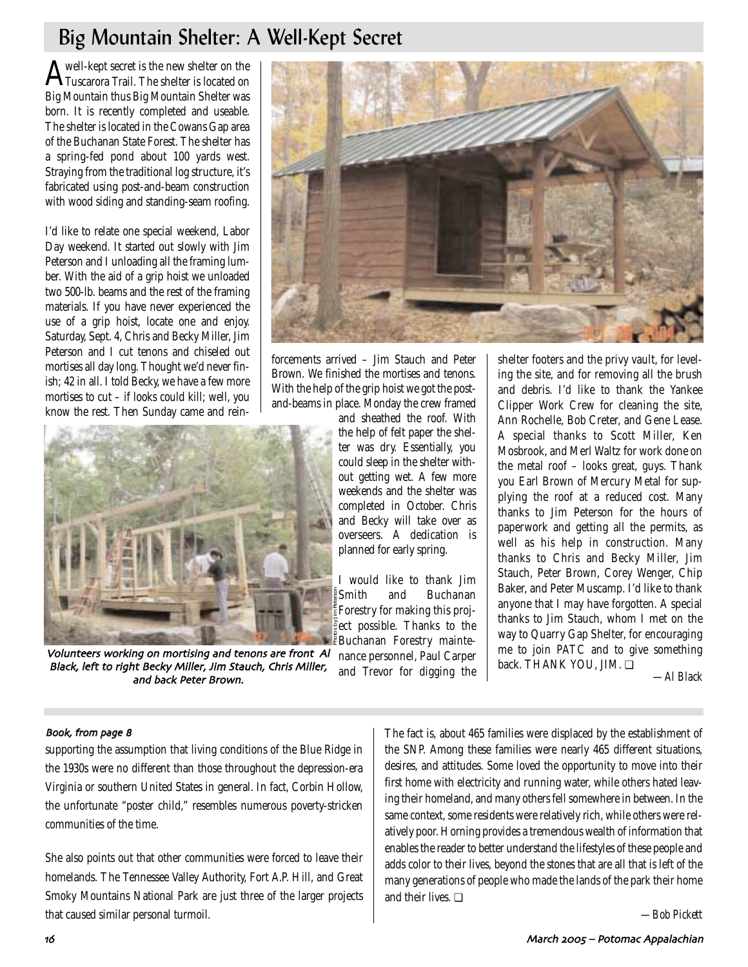# Big Mountain Shelter: A Well-Kept Secret

A well-kept secret is the new shelter on the<br>Tuscarora Trail. The shelter is located on Big Mountain thus Big Mountain Shelter was born. It is recently completed and useable. The shelter is located in the Cowans Gap area of the Buchanan State Forest. The shelter has a spring-fed pond about 100 yards west. Straying from the traditional log structure, it's fabricated using post-and-beam construction with wood siding and standing-seam roofing.

I'd like to relate one special weekend, Labor Day weekend. It started out slowly with Jim Peterson and I unloading all the framing lumber. With the aid of a grip hoist we unloaded two 500-lb. beams and the rest of the framing materials. If you have never experienced the use of a grip hoist, locate one and enjoy. Saturday, Sept. 4, Chris and Becky Miller, Jim Peterson and I cut tenons and chiseled out mortises all day long. Thought we'd never finish; 42 in all. I told Becky, we have a few more mortises to cut – if looks could kill; well, you know the rest. Then Sunday came and rein-



Volunteers working on mortising and tenons are front Al Black, left to right Becky Miller, Jim Stauch, Chris Miller, and back Peter Brown



forcements arrived – Jim Stauch and Peter Brown. We finished the mortises and tenons. With the help of the grip hoist we got the postand-beams in place. Monday the crew framed

and sheathed the roof. With the help of felt paper the shelter was dry. Essentially, you could sleep in the shelter without getting wet. A few more weekends and the shelter was completed in October. Chris and Becky will take over as overseers. A dedication is planned for early spring.

I would like to thank Jim Smith and Buchanan Forestry for making this project possible. Thanks to the Buchanan Forestry mainte-Photos by Jim Peterson

nance personnel, Paul Carper and Trevor for digging the

shelter footers and the privy vault, for leveling the site, and for removing all the brush and debris. I'd like to thank the Yankee Clipper Work Crew for cleaning the site, Ann Rochelle, Bob Creter, and Gene Lease. A special thanks to Scott Miller, Ken Mosbrook, and Merl Waltz for work done on the metal roof – looks great, guys. Thank you Earl Brown of Mercury Metal for supplying the roof at a reduced cost. Many thanks to Jim Peterson for the hours of paperwork and getting all the permits, as well as his help in construction. Many thanks to Chris and Becky Miller, Jim Stauch, Peter Brown, Corey Wenger, Chip Baker, and Peter Muscamp. I'd like to thank anyone that I may have forgotten. A special thanks to Jim Stauch, whom I met on the way to Quarry Gap Shelter, for encouraging me to join PATC and to give something back. THANK YOU, JIM. ❏

*—Al Black* 

### Book, from page 8

supporting the assumption that living conditions of the Blue Ridge in the 1930s were no different than those throughout the depression-era Virginia or southern United States in general. In fact, Corbin Hollow, the unfortunate "poster child," resembles numerous poverty-stricken communities of the time.

She also points out that other communities were forced to leave their homelands. The Tennessee Valley Authority, Fort A.P. Hill, and Great Smoky Mountains National Park are just three of the larger projects that caused similar personal turmoil.

The fact is, about 465 families were displaced by the establishment of the SNP. Among these families were nearly 465 different situations, desires, and attitudes. Some loved the opportunity to move into their first home with electricity and running water, while others hated leaving their homeland, and many others fell somewhere in between. In the same context, some residents were relatively rich, while others were relatively poor. Horning provides a tremendous wealth of information that enables the reader to better understand the lifestyles of these people and adds color to their lives, beyond the stones that are all that is left of the many generations of people who made the lands of the park their home and their lives. ❏

*—Bob Pickett*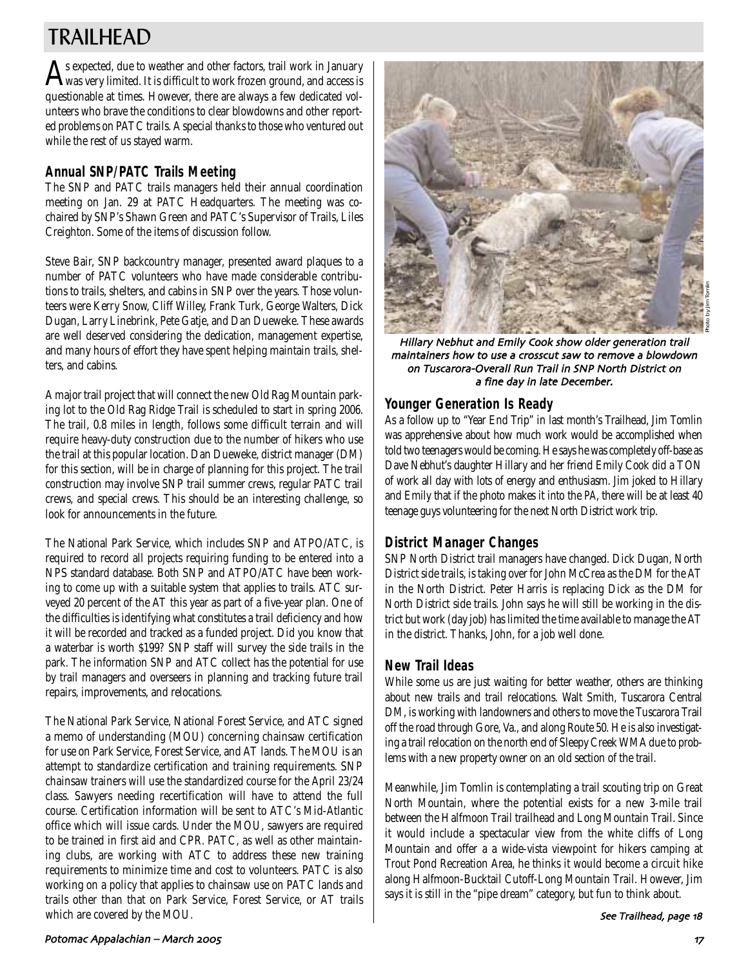# TRAILHEAD

 $\bigwedge$ s expected, due to weather and other factors, trail work in January<br>Was very limited. It is difficult to work frozen ground, and access is questionable at times. However, there are always a few dedicated volunteers who brave the conditions to clear blowdowns and other reported problems on PATC trails. A special thanks to those who ventured out while the rest of us stayed warm.

## **Annual SNP/PATC Trails Meeting**

The SNP and PATC trails managers held their annual coordination meeting on Jan. 29 at PATC Headquarters. The meeting was cochaired by SNP's Shawn Green and PATC's Supervisor of Trails, Liles Creighton. Some of the items of discussion follow.

Steve Bair, SNP backcountry manager, presented award plaques to a number of PATC volunteers who have made considerable contributions to trails, shelters, and cabins in SNP over the years. Those volunteers were Kerry Snow, Cliff Willey, Frank Turk, George Walters, Dick Dugan, Larry Linebrink, Pete Gatje, and Dan Dueweke. These awards are well deserved considering the dedication, management expertise, and many hours of effort they have spent helping maintain trails, shelters, and cabins.

A major trail project that will connect the new Old Rag Mountain parking lot to the Old Rag Ridge Trail is scheduled to start in spring 2006. The trail, 0.8 miles in length, follows some difficult terrain and will require heavy-duty construction due to the number of hikers who use the trail at this popular location. Dan Dueweke, district manager (DM) for this section, will be in charge of planning for this project. The trail construction may involve SNP trail summer crews, regular PATC trail crews, and special crews. This should be an interesting challenge, so look for announcements in the future.

The National Park Service, which includes SNP and ATPO/ATC, is required to record all projects requiring funding to be entered into a NPS standard database. Both SNP and ATPO/ATC have been working to come up with a suitable system that applies to trails. ATC surveyed 20 percent of the AT this year as part of a five-year plan. One of the difficulties is identifying what constitutes a trail deficiency and how it will be recorded and tracked as a funded project. Did you know that a waterbar is worth \$199? SNP staff will survey the side trails in the park. The information SNP and ATC collect has the potential for use by trail managers and overseers in planning and tracking future trail repairs, improvements, and relocations.

The National Park Service, National Forest Service, and ATC signed a memo of understanding (MOU) concerning chainsaw certification for use on Park Service, Forest Service, and AT lands. The MOU is an attempt to standardize certification and training requirements. SNP chainsaw trainers will use the standardized course for the April 23/24 class. Sawyers needing recertification will have to attend the full course. Certification information will be sent to ATC's Mid-Atlantic office which will issue cards. Under the MOU, sawyers are required to be trained in first aid and CPR. PATC, as well as other maintaining clubs, are working with ATC to address these new training requirements to minimize time and cost to volunteers. PATC is also working on a policy that applies to chainsaw use on PATC lands and trails other than that on Park Service, Forest Service, or AT trails which are covered by the MOU.



Hillary Nebhut and Emily Cook show older generation trail maintainers how to use a crosscut saw to remove a blowdown on Tuscarora;Overall Run Trail in SNP North District on a fine day in late December.

### **Younger Generation Is Ready**

As a follow up to "Year End Trip" in last month's Trailhead, Jim Tomlin was apprehensive about how much work would be accomplished when told two teenagers would be coming. He says he was completely off-base as Dave Nebhut's daughter Hillary and her friend Emily Cook did a TON of work all day with lots of energy and enthusiasm. Jim joked to Hillary and Emily that if the photo makes it into the *PA*, there will be at least 40 teenage guys volunteering for the next North District work trip.

## **District Manager Changes**

SNP North District trail managers have changed. Dick Dugan, North District side trails, is taking over for John McCrea as the DM for the AT in the North District. Peter Harris is replacing Dick as the DM for North District side trails. John says he will still be working in the district but work (day job) has limited the time available to manage the AT in the district. Thanks, John, for a job well done.

## **New Trail Ideas**

While some us are just waiting for better weather, others are thinking about new trails and trail relocations. Walt Smith, Tuscarora Central DM, is working with landowners and others to move the Tuscarora Trail off the road through Gore, Va., and along Route 50. He is also investigating a trail relocation on the north end of Sleepy Creek WMA due to problems with a new property owner on an old section of the trail.

Meanwhile, Jim Tomlin is contemplating a trail scouting trip on Great North Mountain, where the potential exists for a new 3-mile trail between the Halfmoon Trail trailhead and Long Mountain Trail. Since it would include a spectacular view from the white cliffs of Long Mountain and offer a a wide-vista viewpoint for hikers camping at Trout Pond Recreation Area, he thinks it would become a circuit hike along Halfmoon-Bucktail Cutoff-Long Mountain Trail. However, Jim says it is still in the "pipe dream" category, but fun to think about.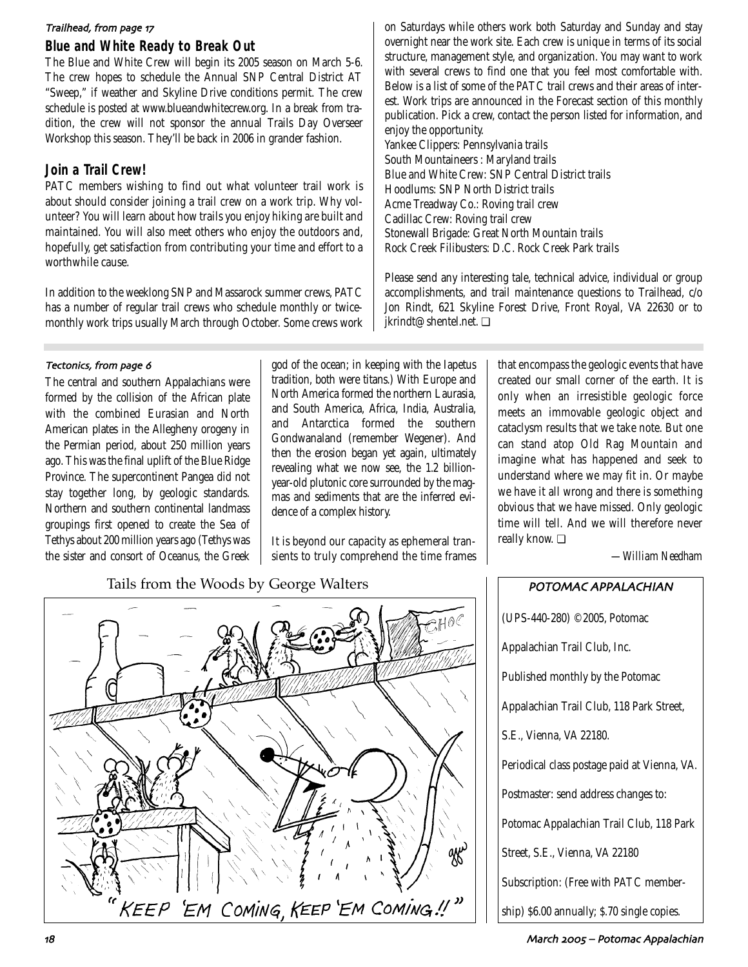### Trailhead, from page 17

## **Blue and White Ready to Break Out**

The Blue and White Crew will begin its 2005 season on March 5-6. The crew hopes to schedule the Annual SNP Central District AT "Sweep," if weather and Skyline Drive conditions permit. The crew schedule is posted at www.blueandwhitecrew.org. In a break from tradition, the crew will not sponsor the annual Trails Day Overseer Workshop this season. They'll be back in 2006 in grander fashion.

## **Join a Trail Crew!**

PATC members wishing to find out what volunteer trail work is about should consider joining a trail crew on a work trip. Why volunteer? You will learn about how trails you enjoy hiking are built and maintained. You will also meet others who enjoy the outdoors and, hopefully, get satisfaction from contributing your time and effort to a worthwhile cause.

In addition to the weeklong SNP and Massarock summer crews, PATC has a number of regular trail crews who schedule monthly or twicemonthly work trips usually March through October. Some crews work

### Tectonics, from page 6

The central and southern Appalachians were formed by the collision of the African plate with the combined Eurasian and North American plates in the Allegheny orogeny in the Permian period, about 250 million years ago. This was the final uplift of the Blue Ridge Province. The supercontinent Pangea did not stay together long, by geologic standards. Northern and southern continental landmass groupings first opened to create the Sea of Tethys about 200 million years ago (Tethys was the sister and consort of Oceanus, the Greek god of the ocean; in keeping with the Iapetus tradition, both were titans.) With Europe and North America formed the northern Laurasia, and South America, Africa, India, Australia, and Antarctica formed the southern Gondwanaland (remember Wegener). And then the erosion began yet again, ultimately revealing what we now see, the 1.2 billionyear-old plutonic core surrounded by the magmas and sediments that are the inferred evidence of a complex history.

It is beyond our capacity as ephemeral transients to truly comprehend the time frames

Tails from the Woods by George Walters **POTOMAC APPALACHIAN** 



on Saturdays while others work both Saturday and Sunday and stay overnight near the work site. Each crew is unique in terms of its social structure, management style, and organization. You may want to work with several crews to find one that you feel most comfortable with. Below is a list of some of the PATC trail crews and their areas of interest. Work trips are announced in the Forecast section of this monthly publication. Pick a crew, contact the person listed for information, and enjoy the opportunity. Yankee Clippers: Pennsylvania trails South Mountaineers : Maryland trails Blue and White Crew: SNP Central District trails Hoodlums: SNP North District trails Acme Treadway Co.: Roving trail crew Cadillac Crew: Roving trail crew Stonewall Brigade: Great North Mountain trails Rock Creek Filibusters: D.C. Rock Creek Park trails

Please send any interesting tale, technical advice, individual or group accomplishments, and trail maintenance questions to Trailhead, c/o Jon Rindt, 621 Skyline Forest Drive, Front Royal, VA 22630 or to jkrindt@shentel.net. ❏

> that encompass the geologic events that have created our small corner of the earth. It is only when an irresistible geologic force meets an immovable geologic object and cataclysm results that we take note. But one can stand atop Old Rag Mountain and imagine what has happened and seek to understand where we may fit in. Or maybe we have it all wrong and there is something obvious that we have missed. Only geologic time will tell. And we will therefore never really know. ❏

> > *—William Needham*

| (UPS-440-280) ©2005, Potomac                 |
|----------------------------------------------|
| Appalachian Trail Club, Inc.                 |
| Published monthly by the Potomac             |
| Appalachian Trail Club, 118 Park Street,     |
| S.E., Vienna, VA 22180.                      |
| Periodical class postage paid at Vienna, VA. |
| Postmaster: send address changes to:         |
| Potomac Appalachian Trail Club, 118 Park     |
| Street, S.E., Vienna, VA 22180               |
| Subscription: (Free with PATC member-        |
| ship) \$6.00 annually; \$.70 single copies.  |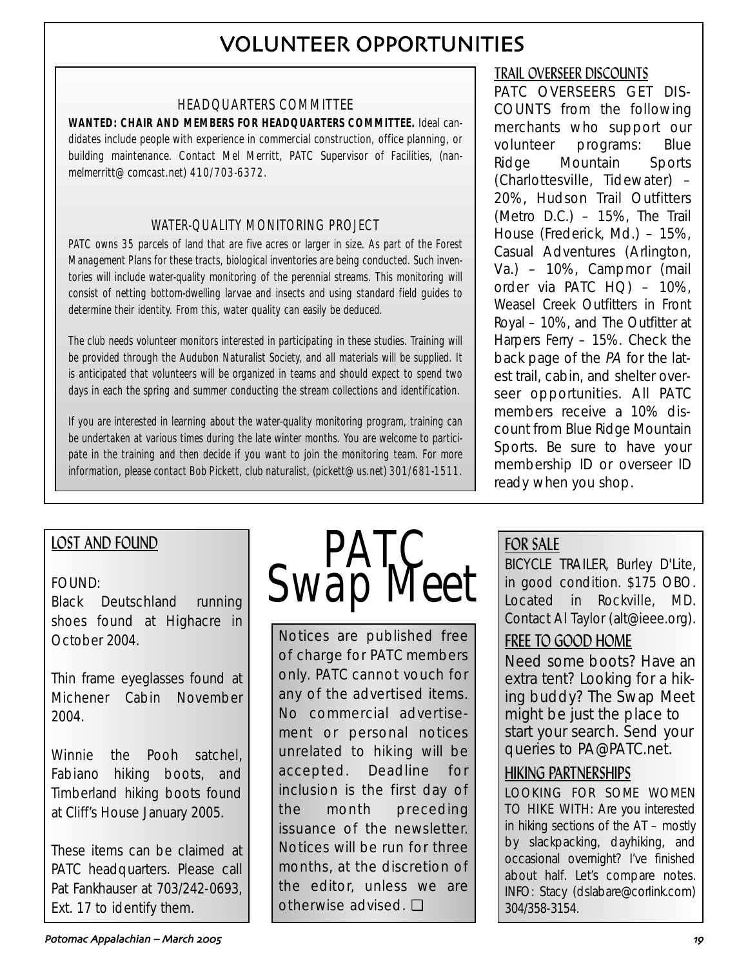# VOLUNTEER OPPORTUNITIES

## HEADQUARTERS COMMITTEE

**WANTED: CHAIR AND MEMBERS FOR HEADQUARTERS COMMITTEE.** Ideal candidates include people with experience in commercial construction, office planning, or building maintenance. Contact Mel Merritt, PATC Supervisor of Facilities, (nanmelmerritt@comcast.net) 410/703-6372.

## WATER-QUALITY MONITORING PROJECT

PATC owns 35 parcels of land that are five acres or larger in size. As part of the Forest Management Plans for these tracts, biological inventories are being conducted. Such inventories will include water-quality monitoring of the perennial streams. This monitoring will consist of netting bottom-dwelling larvae and insects and using standard field guides to determine their identity. From this, water quality can easily be deduced.

The club needs volunteer monitors interested in participating in these studies. Training will be provided through the Audubon Naturalist Society, and all materials will be supplied. It is anticipated that volunteers will be organized in teams and should expect to spend two days in each the spring and summer conducting the stream collections and identification.

If you are interested in learning about the water-quality monitoring program, training can be undertaken at various times during the late winter months. You are welcome to participate in the training and then decide if you want to join the monitoring team. For more information, please contact Bob Pickett, club naturalist, (pickett@us.net) 301/681-1511.

## LOST AND FOUND

## FOUND:

Black Deutschland running shoes found at Highacre in October 2004.

Thin frame eyeglasses found at Michener Cabin November 2004.

Winnie the Pooh satchel, Fabiano hiking boots, and Timberland hiking boots found at Cliff's House January 2005.

These items can be claimed at PATC headquarters. Please call Pat Fankhauser at 703/242-0693, Ext. 17 to identify them.



Notices are published free of charge for PATC members only. PATC cannot vouch for any of the advertised items. No commercial advertisement or personal notices unrelated to hiking will be accepted. Deadline for inclusion is the first day of the month preceding issuance of the newsletter. Notices will be run for three months, at the discretion of the editor, unless we are otherwise advised. ❏

## TRAIL OVERSEER DISCOUNTS

PATC OVERSEERS GET DIS-COUNTS from the following merchants who support our volunteer programs: Blue Ridge Mountain Sports (Charlottesville, Tidewater) – 20%, Hudson Trail Outfitters (Metro D.C.) – 15%, The Trail House (Frederick, Md.) – 15%, Casual Adventures (Arlington, Va.) – 10%, Campmor (mail order via PATC HQ) – 10%, Weasel Creek Outfitters in Front Royal – 10%, and The Outfitter at Harpers Ferry – 15%. Check the back page of the PA for the latest trail, cabin, and shelter overseer opportunities. All PATC members receive a 10% discount from Blue Ridge Mountain Sports. Be sure to have your membership ID or overseer ID ready when you shop.

## FOR SALE

BICYCLE TRAILER, Burley D'Lite, in good condition. \$175 OBO. Located in Rockville, MD. Contact Al Taylor (alt@ieee.org).

## FREE TO GOOD HOME

Need some boots? Have an extra tent? Looking for a hiking buddy? The Swap Meet might be just the place to start your search. Send your queries to PA@PATC.net.

## HIKING PARTNERSHIPS

LOOKING FOR SOME WOMEN TO HIKE WITH: Are you interested in hiking sections of the AT – mostly by slackpacking, dayhiking, and occasional overnight? I've finished about half. Let's compare notes. INFO: Stacy (dslabare@corlink.com) 304/358-3154.